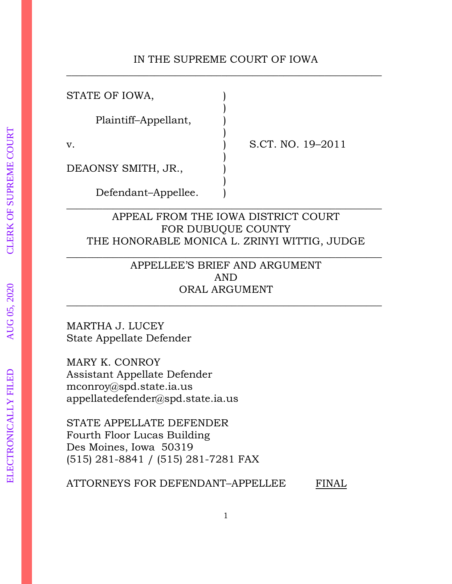## IN THE SUPREME COURT OF IOWA \_\_\_\_\_\_\_\_\_\_\_\_\_\_\_\_\_\_\_\_\_\_\_\_\_\_\_\_\_\_\_\_\_\_\_\_\_\_\_\_\_\_\_\_\_\_\_\_\_\_\_\_\_\_\_\_\_\_\_\_\_

| STATE OF IOWA,       |  |
|----------------------|--|
| Plaintiff-Appellant, |  |
| v.                   |  |
| DEAONSY SMITH, JR.,  |  |
| Defendant-Appellee.  |  |

S.CT. NO. 19-2011

APPEAL FROM THE IOWA DISTRICT COURT FOR DUBUQUE COUNTY THE HONORABLE MONICA L. ZRINYI WITTIG, JUDGE

\_\_\_\_\_\_\_\_\_\_\_\_\_\_\_\_\_\_\_\_\_\_\_\_\_\_\_\_\_\_\_\_\_\_\_\_\_\_\_\_\_\_\_\_\_\_\_\_\_\_\_\_\_\_\_\_\_\_\_\_\_

APPELLEE'S BRIEF AND ARGUMENT AND ORAL ARGUMENT

\_\_\_\_\_\_\_\_\_\_\_\_\_\_\_\_\_\_\_\_\_\_\_\_\_\_\_\_\_\_\_\_\_\_\_\_\_\_\_\_\_\_\_\_\_\_\_\_\_\_\_\_\_\_\_\_\_\_\_\_\_

\_\_\_\_\_\_\_\_\_\_\_\_\_\_\_\_\_\_\_\_\_\_\_\_\_\_\_\_\_\_\_\_\_\_\_\_\_\_\_\_\_\_\_\_\_\_\_\_\_\_\_\_\_\_\_\_\_\_\_\_\_

MARTHA J. LUCEY State Appellate Defender

MARY K. CONROY Assistant Appellate Defender mconroy@spd.state.ia.us appellatedefender@spd.state.ia.us

STATE APPELLATE DEFENDER Fourth Floor Lucas Building Des Moines, Iowa 50319 (515) 281-8841 / (515) 281-7281 FAX

ATTORNEYS FOR DEFENDANT-APPELLEE FINAL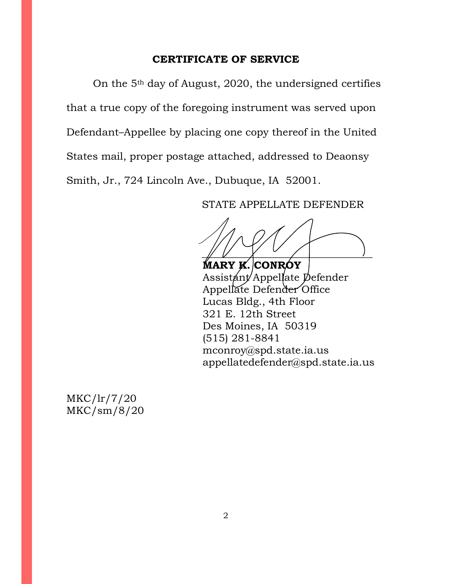### **CERTIFICATE OF SERVICE**

On the 5th day of August, 2020, the undersigned certifies that a true copy of the foregoing instrument was served upon Defendant–Appellee by placing one copy thereof in the United States mail, proper postage attached, addressed to Deaonsy Smith, Jr., 724 Lincoln Ave., Dubuque, IA 52001.

STATE APPELLATE DEFENDER

 $\frac{1}{2}$ 

**MARY K. CONROY** Assistant Appellate Defender Appellate Defender Office Lucas Bldg., 4th Floor 321 E. 12th Street Des Moines, IA 50319 (515) 281-8841 mconroy@spd.state.ia.us appellatedefender@spd.state.ia.us

MKC/lr/7/20 MKC/sm/8/20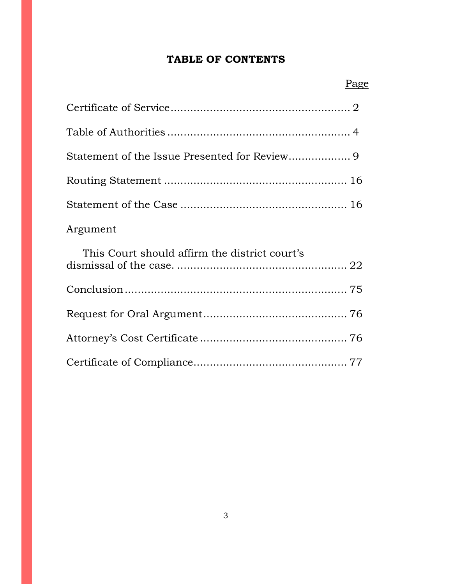# **TABLE OF CONTENTS**

| Argument                                      |  |
|-----------------------------------------------|--|
| This Court should affirm the district court's |  |
|                                               |  |
|                                               |  |
|                                               |  |
|                                               |  |

# Page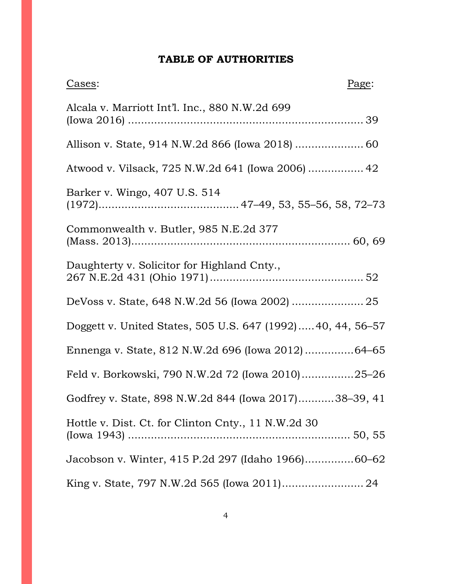# **TABLE OF AUTHORITIES**

| Cases:                                                     | Page: |
|------------------------------------------------------------|-------|
| Alcala v. Marriott Int'l. Inc., 880 N.W.2d 699             |       |
| Allison v. State, 914 N.W.2d 866 (Iowa 2018)  60           |       |
| Atwood v. Vilsack, 725 N.W.2d 641 (Iowa 2006)  42          |       |
| Barker v. Wingo, 407 U.S. 514                              |       |
| Commonwealth v. Butler, 985 N.E.2d 377                     |       |
| Daughterty v. Solicitor for Highland Cnty.,                |       |
|                                                            |       |
| Doggett v. United States, 505 U.S. 647 (1992)40, 44, 56-57 |       |
| Ennenga v. State, 812 N.W.2d 696 (Iowa 2012) 64-65         |       |
| Feld v. Borkowski, 790 N.W.2d 72 (Iowa 2010)25-26          |       |
| Godfrey v. State, 898 N.W.2d 844 (Iowa 2017)38-39, 41      |       |
| Hottle v. Dist. Ct. for Clinton Cnty., 11 N.W.2d 30        |       |
| Jacobson v. Winter, 415 P.2d 297 (Idaho 1966)60-62         |       |
|                                                            |       |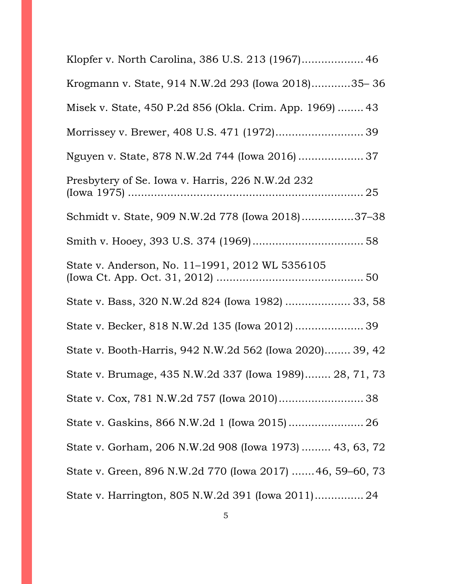| Klopfer v. North Carolina, 386 U.S. 213 (1967) 46        |
|----------------------------------------------------------|
| Krogmann v. State, 914 N.W.2d 293 (Iowa 2018)35-36       |
| Misek v. State, 450 P.2d 856 (Okla. Crim. App. 1969)  43 |
| Morrissey v. Brewer, 408 U.S. 471 (1972) 39              |
| Nguyen v. State, 878 N.W.2d 744 (Iowa 2016)  37          |
| Presbytery of Se. Iowa v. Harris, 226 N.W.2d 232         |
| Schmidt v. State, 909 N.W.2d 778 (Iowa 2018)37-38        |
|                                                          |
| State v. Anderson, No. 11-1991, 2012 WL 5356105          |
| State v. Bass, 320 N.W.2d 824 (Iowa 1982)  33, 58        |
| State v. Becker, 818 N.W.2d 135 (Iowa 2012)  39          |
| State v. Booth-Harris, 942 N.W.2d 562 (Iowa 2020) 39, 42 |
| State v. Brumage, 435 N.W.2d 337 (Iowa 1989) 28, 71, 73  |
|                                                          |
| State v. Gaskins, 866 N.W.2d 1 (Iowa 2015) 26            |
| State v. Gorham, 206 N.W.2d 908 (Iowa 1973)  43, 63, 72  |
| State v. Green, 896 N.W.2d 770 (Iowa 2017) 46, 59-60, 73 |
| State v. Harrington, 805 N.W.2d 391 (Iowa 2011) 24       |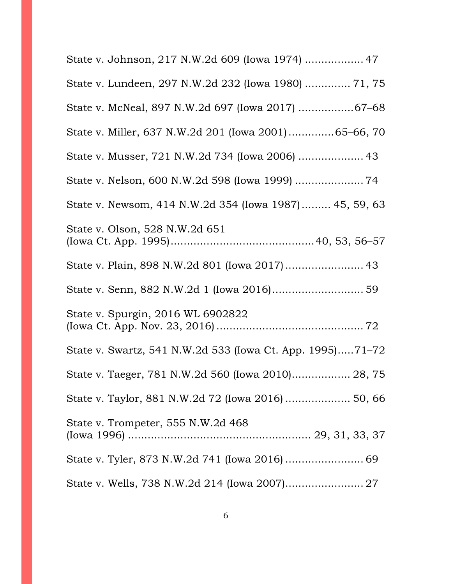| State v. Johnson, 217 N.W.2d 609 (Iowa 1974)  47          |
|-----------------------------------------------------------|
| State v. Lundeen, 297 N.W.2d 232 (Iowa 1980)  71, 75      |
| State v. McNeal, 897 N.W.2d 697 (Iowa 2017) 67-68         |
| State v. Miller, 637 N.W.2d 201 (Iowa 2001)65-66, 70      |
| State v. Musser, 721 N.W.2d 734 (Iowa 2006)  43           |
|                                                           |
| State v. Newsom, 414 N.W.2d 354 (Iowa 1987) 45, 59, 63    |
| State v. Olson, 528 N.W.2d 651                            |
|                                                           |
|                                                           |
| State v. Spurgin, 2016 WL 6902822                         |
| State v. Swartz, 541 N.W.2d 533 (Iowa Ct. App. 1995)71-72 |
| State v. Taeger, 781 N.W.2d 560 (Iowa 2010) 28, 75        |
|                                                           |
| State v. Trompeter, 555 N.W.2d 468                        |
|                                                           |
| State v. Wells, 738 N.W.2d 214 (Iowa 2007) 27             |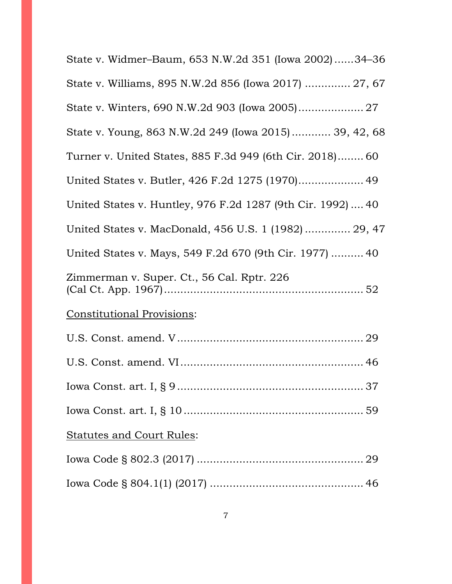| State v. Widmer-Baum, 653 N.W.2d 351 (Iowa 2002)34-36       |
|-------------------------------------------------------------|
| State v. Williams, 895 N.W.2d 856 (Iowa 2017)  27, 67       |
|                                                             |
| State v. Young, 863 N.W.2d 249 (Iowa 2015) 39, 42, 68       |
| Turner v. United States, 885 F.3d 949 (6th Cir. 2018) 60    |
| United States v. Butler, 426 F.2d 1275 (1970) 49            |
| United States v. Huntley, 976 F.2d 1287 (9th Cir. 1992)  40 |
| United States v. MacDonald, 456 U.S. 1 (1982)  29, 47       |
| United States v. Mays, 549 F.2d 670 (9th Cir. 1977)  40     |
| Zimmerman v. Super. Ct., 56 Cal. Rptr. 226                  |
| <b>Constitutional Provisions:</b>                           |
|                                                             |
|                                                             |
|                                                             |
|                                                             |
| <b>Statutes and Court Rules:</b>                            |
|                                                             |
|                                                             |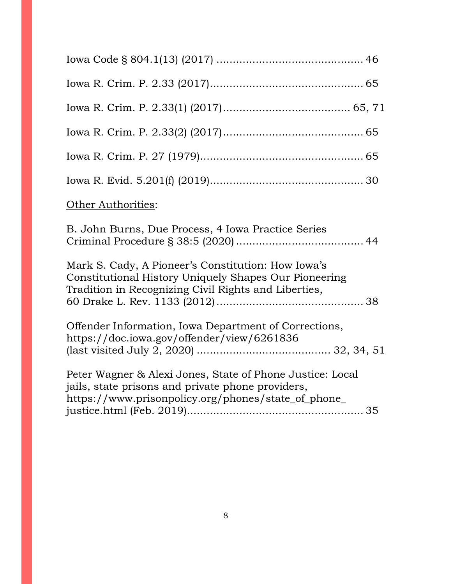| Other Authorities:                                                                                                                                                    |
|-----------------------------------------------------------------------------------------------------------------------------------------------------------------------|
| B. John Burns, Due Process, 4 Iowa Practice Series                                                                                                                    |
| Mark S. Cady, A Pioneer's Constitution: How Iowa's<br>Constitutional History Uniquely Shapes Our Pioneering<br>Tradition in Recognizing Civil Rights and Liberties,   |
| Offender Information, Iowa Department of Corrections,<br>https://doc.iowa.gov/offender/view/6261836                                                                   |
| Peter Wagner & Alexi Jones, State of Phone Justice: Local<br>jails, state prisons and private phone providers,<br>https://www.prisonpolicy.org/phones/state_of_phone_ |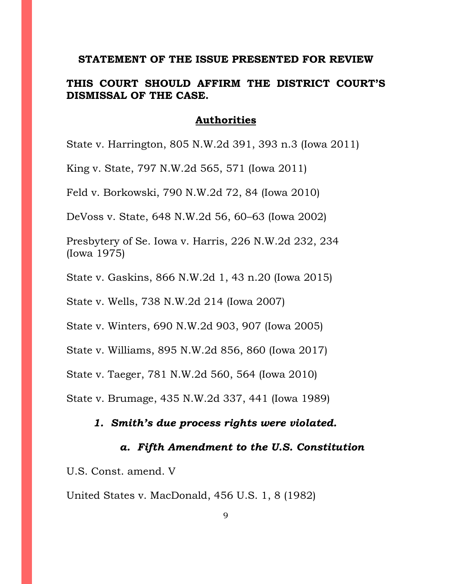#### **STATEMENT OF THE ISSUE PRESENTED FOR REVIEW**

## **THIS COURT SHOULD AFFIRM THE DISTRICT COURT'S DISMISSAL OF THE CASE.**

#### **Authorities**

State v. Harrington, 805 N.W.2d 391, 393 n.3 (Iowa 2011)

King v. State, 797 N.W.2d 565, 571 (Iowa 2011)

Feld v. Borkowski, 790 N.W.2d 72, 84 (Iowa 2010)

DeVoss v. State, 648 N.W.2d 56, 60–63 (Iowa 2002)

Presbytery of Se. Iowa v. Harris, 226 N.W.2d 232, 234 (Iowa 1975)

State v. Gaskins, 866 N.W.2d 1, 43 n.20 (Iowa 2015)

State v. Wells, 738 N.W.2d 214 (Iowa 2007)

State v. Winters, 690 N.W.2d 903, 907 (Iowa 2005)

State v. Williams, 895 N.W.2d 856, 860 (Iowa 2017)

State v. Taeger, 781 N.W.2d 560, 564 (Iowa 2010)

State v. Brumage, 435 N.W.2d 337, 441 (Iowa 1989)

#### *1. Smith's due process rights were violated.*

#### *a. Fifth Amendment to the U.S. Constitution*

U.S. Const. amend. V

United States v. MacDonald, 456 U.S. 1, 8 (1982)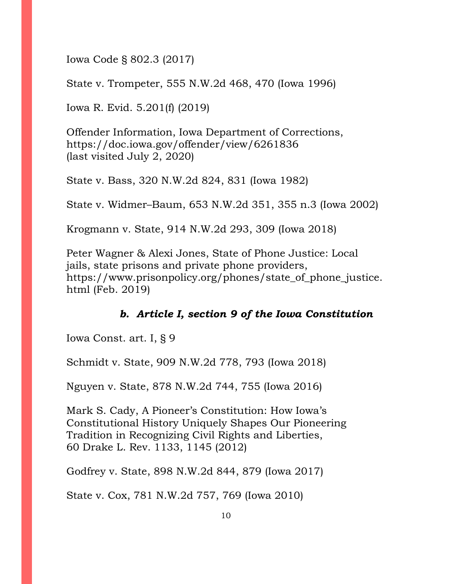Iowa Code § 802.3 (2017)

State v. Trompeter, 555 N.W.2d 468, 470 (Iowa 1996)

Iowa R. Evid. 5.201(f) (2019)

Offender Information, Iowa Department of Corrections, https://doc.iowa.gov/offender/view/6261836 (last visited July 2, 2020)

State v. Bass, 320 N.W.2d 824, 831 (Iowa 1982)

State v. Widmer–Baum, 653 N.W.2d 351, 355 n.3 (Iowa 2002)

Krogmann v. State, 914 N.W.2d 293, 309 (Iowa 2018)

Peter Wagner & Alexi Jones, State of Phone Justice: Local jails, state prisons and private phone providers, https://www.prisonpolicy.org/phones/state\_of\_phone\_justice. html (Feb. 2019)

## *b. Article I, section 9 of the Iowa Constitution*

Iowa Const. art. I, § 9

Schmidt v. State, 909 N.W.2d 778, 793 (Iowa 2018)

Nguyen v. State, 878 N.W.2d 744, 755 (Iowa 2016)

Mark S. Cady, A Pioneer's Constitution: How Iowa's Constitutional History Uniquely Shapes Our Pioneering Tradition in Recognizing Civil Rights and Liberties, 60 Drake L. Rev. 1133, 1145 (2012)

Godfrey v. State, 898 N.W.2d 844, 879 (Iowa 2017)

State v. Cox, 781 N.W.2d 757, 769 (Iowa 2010)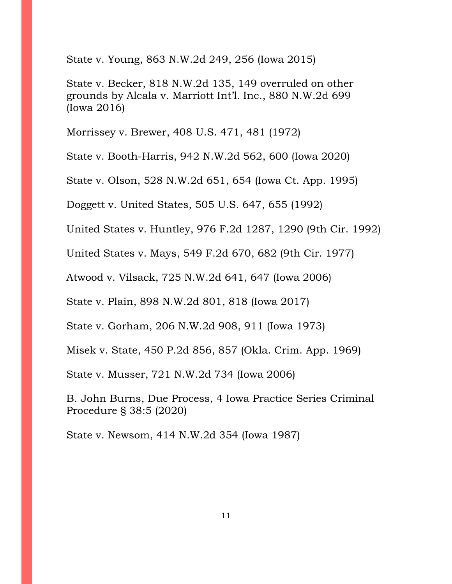State v. Young, 863 N.W.2d 249, 256 (Iowa 2015)

State v. Becker, 818 N.W.2d 135, 149 overruled on other grounds by Alcala v. Marriott Int'l. Inc., 880 N.W.2d 699 (Iowa 2016)

Morrissey v. Brewer, 408 U.S. 471, 481 (1972)

State v. Booth-Harris, 942 N.W.2d 562, 600 (Iowa 2020)

State v. Olson, 528 N.W.2d 651, 654 (Iowa Ct. App. 1995)

Doggett v. United States, 505 U.S. 647, 655 (1992)

United States v. Huntley, 976 F.2d 1287, 1290 (9th Cir. 1992)

United States v. Mays, 549 F.2d 670, 682 (9th Cir. 1977)

Atwood v. Vilsack, 725 N.W.2d 641, 647 (Iowa 2006)

State v. Plain, 898 N.W.2d 801, 818 (Iowa 2017)

State v. Gorham, 206 N.W.2d 908, 911 (Iowa 1973)

Misek v. State, 450 P.2d 856, 857 (Okla. Crim. App. 1969)

State v. Musser, 721 N.W.2d 734 (Iowa 2006)

B. John Burns, Due Process, 4 Iowa Practice Series Criminal Procedure § 38:5 (2020)

State v. Newsom, 414 N.W.2d 354 (Iowa 1987)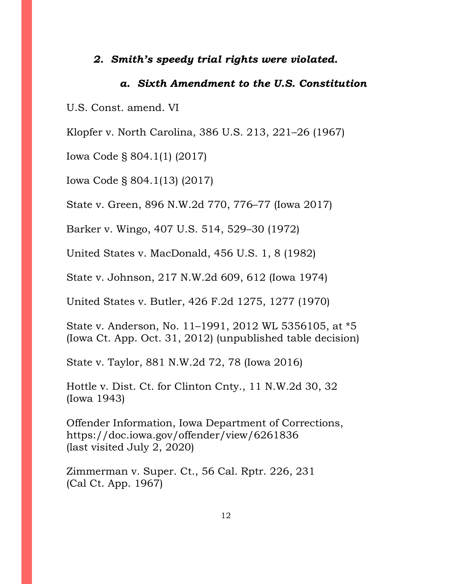### *2. Smith's speedy trial rights were violated.*

### *a. Sixth Amendment to the U.S. Constitution*

U.S. Const. amend. VI

Klopfer v. North Carolina, 386 U.S. 213, 221–26 (1967)

Iowa Code § 804.1(1) (2017)

Iowa Code § 804.1(13) (2017)

State v. Green, 896 N.W.2d 770, 776–77 (Iowa 2017)

Barker v. Wingo, 407 U.S. 514, 529–30 (1972)

United States v. MacDonald, 456 U.S. 1, 8 (1982)

State v. Johnson, 217 N.W.2d 609, 612 (Iowa 1974)

United States v. Butler, 426 F.2d 1275, 1277 (1970)

State v. Anderson, No. 11–1991, 2012 WL 5356105, at \*5 (Iowa Ct. App. Oct. 31, 2012) (unpublished table decision)

State v. Taylor, 881 N.W.2d 72, 78 (Iowa 2016)

Hottle v. Dist. Ct. for Clinton Cnty., 11 N.W.2d 30, 32 (Iowa 1943)

Offender Information, Iowa Department of Corrections, https://doc.iowa.gov/offender/view/6261836 (last visited July 2, 2020)

Zimmerman v. Super. Ct., 56 Cal. Rptr. 226, 231 (Cal Ct. App. 1967)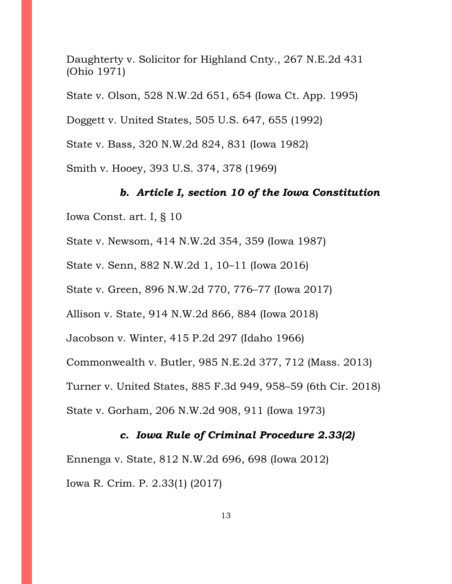Daughterty v. Solicitor for Highland Cnty., 267 N.E.2d 431 (Ohio 1971)

State v. Olson, 528 N.W.2d 651, 654 (Iowa Ct. App. 1995)

Doggett v. United States, 505 U.S. 647, 655 (1992)

State v. Bass, 320 N.W.2d 824, 831 (Iowa 1982)

Smith v. Hooey, 393 U.S. 374, 378 (1969)

## *b. Article I, section 10 of the Iowa Constitution*

Iowa Const. art. I, § 10

State v. Newsom, 414 N.W.2d 354, 359 (Iowa 1987)

State v. Senn, 882 N.W.2d 1, 10–11 (Iowa 2016)

State v. Green, 896 N.W.2d 770, 776–77 (Iowa 2017)

Allison v. State, 914 N.W.2d 866, 884 (Iowa 2018)

Jacobson v. Winter, 415 P.2d 297 (Idaho 1966)

Commonwealth v. Butler, 985 N.E.2d 377, 712 (Mass. 2013)

Turner v. United States, 885 F.3d 949, 958–59 (6th Cir. 2018)

State v. Gorham, 206 N.W.2d 908, 911 (Iowa 1973)

## *c. Iowa Rule of Criminal Procedure 2.33(2)*

Ennenga v. State, 812 N.W.2d 696, 698 (Iowa 2012) Iowa R. Crim. P. 2.33(1) (2017)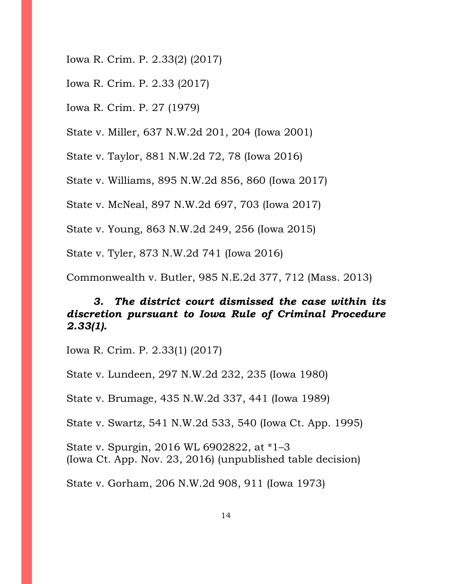- Iowa R. Crim. P. 2.33(2) (2017)
- Iowa R. Crim. P. 2.33 (2017)
- Iowa R. Crim. P. 27 (1979)

State v. Miller, 637 N.W.2d 201, 204 (Iowa 2001)

State v. Taylor, 881 N.W.2d 72, 78 (Iowa 2016)

State v. Williams, 895 N.W.2d 856, 860 (Iowa 2017)

State v. McNeal, 897 N.W.2d 697, 703 (Iowa 2017)

State v. Young, 863 N.W.2d 249, 256 (Iowa 2015)

State v. Tyler, 873 N.W.2d 741 (Iowa 2016)

Commonwealth v. Butler, 985 N.E.2d 377, 712 (Mass. 2013)

# *3. The district court dismissed the case within its discretion pursuant to Iowa Rule of Criminal Procedure 2.33(1).*

Iowa R. Crim. P. 2.33(1) (2017)

State v. Lundeen, 297 N.W.2d 232, 235 (Iowa 1980)

State v. Brumage, 435 N.W.2d 337, 441 (Iowa 1989)

State v. Swartz, 541 N.W.2d 533, 540 (Iowa Ct. App. 1995)

State v. Spurgin, 2016 WL 6902822, at \*1–3 (Iowa Ct. App. Nov. 23, 2016) (unpublished table decision)

State v. Gorham, 206 N.W.2d 908, 911 (Iowa 1973)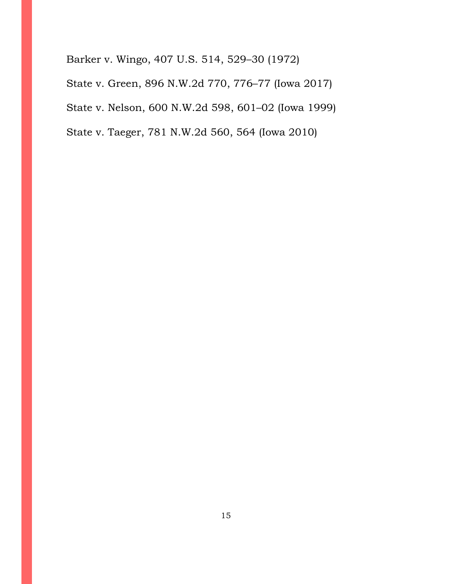Barker v. Wingo, 407 U.S. 514, 529–30 (1972) State v. Green, 896 N.W.2d 770, 776–77 (Iowa 2017)

State v. Nelson, 600 N.W.2d 598, 601–02 (Iowa 1999)

State v. Taeger, 781 N.W.2d 560, 564 (Iowa 2010)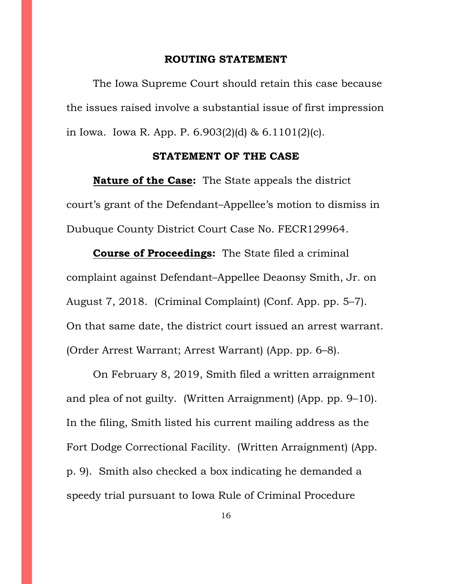#### **ROUTING STATEMENT**

The Iowa Supreme Court should retain this case because the issues raised involve a substantial issue of first impression in Iowa. Iowa R. App. P. 6.903(2)(d) & 6.1101(2)(c).

#### **STATEMENT OF THE CASE**

**Nature of the Case:** The State appeals the district court's grant of the Defendant–Appellee's motion to dismiss in Dubuque County District Court Case No. FECR129964.

**Course of Proceedings:** The State filed a criminal complaint against Defendant–Appellee Deaonsy Smith, Jr. on August 7, 2018. (Criminal Complaint) (Conf. App. pp. 5–7). On that same date, the district court issued an arrest warrant. (Order Arrest Warrant; Arrest Warrant) (App. pp. 6–8).

On February 8, 2019, Smith filed a written arraignment and plea of not guilty. (Written Arraignment) (App. pp. 9–10). In the filing, Smith listed his current mailing address as the Fort Dodge Correctional Facility. (Written Arraignment) (App. p. 9). Smith also checked a box indicating he demanded a speedy trial pursuant to Iowa Rule of Criminal Procedure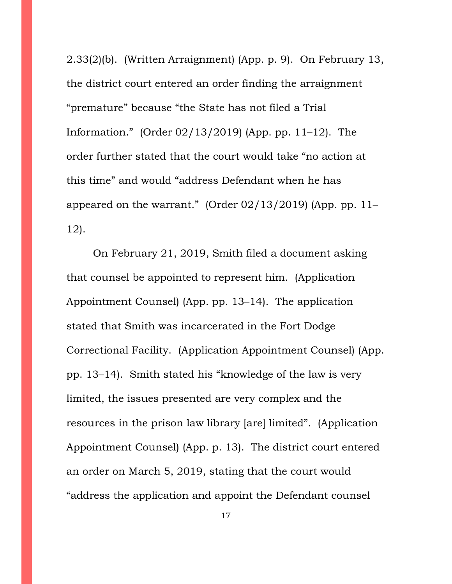2.33(2)(b). (Written Arraignment) (App. p. 9). On February 13, the district court entered an order finding the arraignment "premature" because "the State has not filed a Trial Information." (Order 02/13/2019) (App. pp. 11–12). The order further stated that the court would take "no action at this time" and would "address Defendant when he has appeared on the warrant." (Order  $02/13/2019$ ) (App. pp. 11– 12).

On February 21, 2019, Smith filed a document asking that counsel be appointed to represent him. (Application Appointment Counsel) (App. pp. 13–14). The application stated that Smith was incarcerated in the Fort Dodge Correctional Facility. (Application Appointment Counsel) (App. pp. 13–14). Smith stated his "knowledge of the law is very limited, the issues presented are very complex and the resources in the prison law library [are] limited". (Application Appointment Counsel) (App. p. 13). The district court entered an order on March 5, 2019, stating that the court would "address the application and appoint the Defendant counsel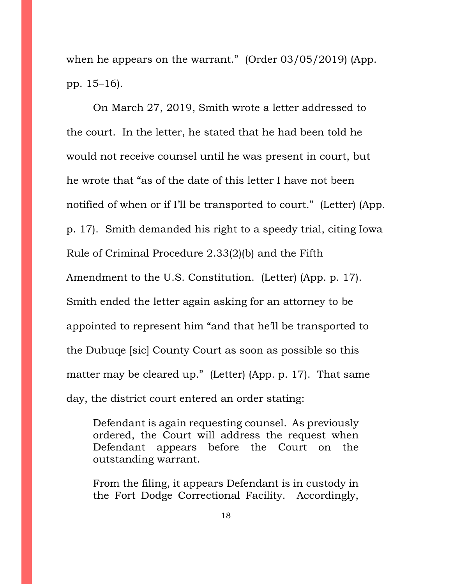when he appears on the warrant." (Order 03/05/2019) (App. pp. 15–16).

On March 27, 2019, Smith wrote a letter addressed to the court. In the letter, he stated that he had been told he would not receive counsel until he was present in court, but he wrote that "as of the date of this letter I have not been notified of when or if I'll be transported to court." (Letter) (App. p. 17). Smith demanded his right to a speedy trial, citing Iowa Rule of Criminal Procedure 2.33(2)(b) and the Fifth Amendment to the U.S. Constitution. (Letter) (App. p. 17). Smith ended the letter again asking for an attorney to be appointed to represent him "and that he'll be transported to the Dubuqe [sic] County Court as soon as possible so this matter may be cleared up." (Letter) (App. p. 17). That same day, the district court entered an order stating:

Defendant is again requesting counsel. As previously ordered, the Court will address the request when Defendant appears before the Court on the outstanding warrant.

From the filing, it appears Defendant is in custody in the Fort Dodge Correctional Facility. Accordingly,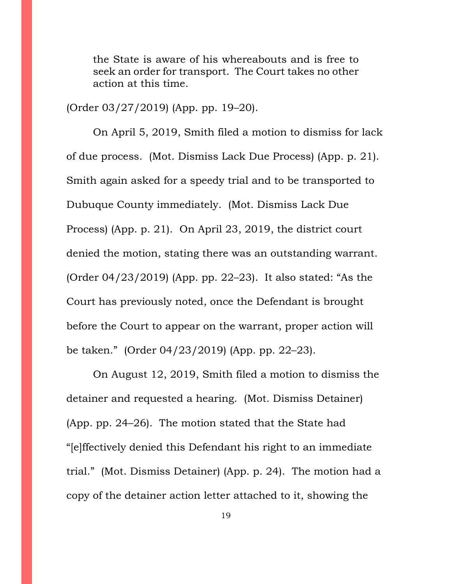the State is aware of his whereabouts and is free to seek an order for transport. The Court takes no other action at this time.

(Order 03/27/2019) (App. pp. 19–20).

On April 5, 2019, Smith filed a motion to dismiss for lack of due process. (Mot. Dismiss Lack Due Process) (App. p. 21). Smith again asked for a speedy trial and to be transported to Dubuque County immediately. (Mot. Dismiss Lack Due Process) (App. p. 21). On April 23, 2019, the district court denied the motion, stating there was an outstanding warrant. (Order 04/23/2019) (App. pp. 22–23). It also stated: "As the Court has previously noted, once the Defendant is brought before the Court to appear on the warrant, proper action will be taken." (Order 04/23/2019) (App. pp. 22–23).

On August 12, 2019, Smith filed a motion to dismiss the detainer and requested a hearing. (Mot. Dismiss Detainer) (App. pp. 24–26). The motion stated that the State had "[e]ffectively denied this Defendant his right to an immediate trial." (Mot. Dismiss Detainer) (App. p. 24). The motion had a copy of the detainer action letter attached to it, showing the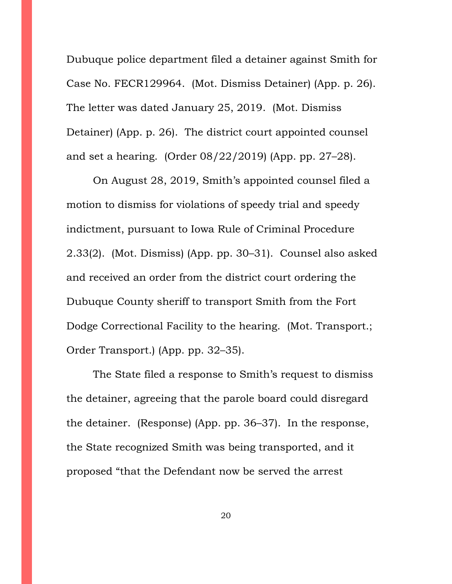Dubuque police department filed a detainer against Smith for Case No. FECR129964. (Mot. Dismiss Detainer) (App. p. 26). The letter was dated January 25, 2019. (Mot. Dismiss Detainer) (App. p. 26). The district court appointed counsel and set a hearing. (Order 08/22/2019) (App. pp. 27–28).

On August 28, 2019, Smith's appointed counsel filed a motion to dismiss for violations of speedy trial and speedy indictment, pursuant to Iowa Rule of Criminal Procedure 2.33(2). (Mot. Dismiss) (App. pp. 30–31). Counsel also asked and received an order from the district court ordering the Dubuque County sheriff to transport Smith from the Fort Dodge Correctional Facility to the hearing. (Mot. Transport.; Order Transport.) (App. pp. 32–35).

The State filed a response to Smith's request to dismiss the detainer, agreeing that the parole board could disregard the detainer. (Response) (App. pp. 36–37). In the response, the State recognized Smith was being transported, and it proposed "that the Defendant now be served the arrest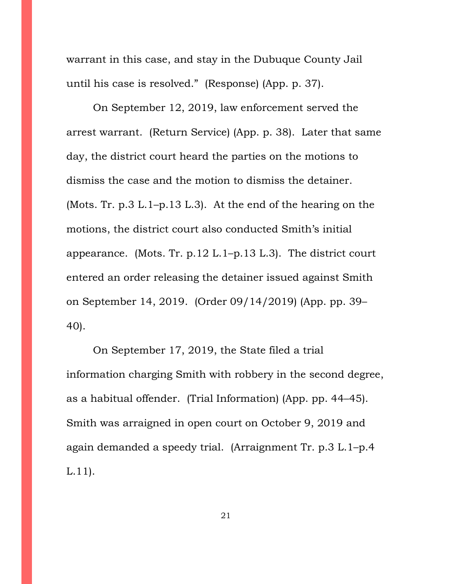warrant in this case, and stay in the Dubuque County Jail until his case is resolved." (Response) (App. p. 37).

On September 12, 2019, law enforcement served the arrest warrant. (Return Service) (App. p. 38). Later that same day, the district court heard the parties on the motions to dismiss the case and the motion to dismiss the detainer. (Mots. Tr. p.3 L.1–p.13 L.3). At the end of the hearing on the motions, the district court also conducted Smith's initial appearance. (Mots. Tr. p.12 L.1–p.13 L.3). The district court entered an order releasing the detainer issued against Smith on September 14, 2019. (Order 09/14/2019) (App. pp. 39– 40).

On September 17, 2019, the State filed a trial information charging Smith with robbery in the second degree, as a habitual offender. (Trial Information) (App. pp. 44–45). Smith was arraigned in open court on October 9, 2019 and again demanded a speedy trial. (Arraignment Tr. p.3 L.1–p.4 L.11).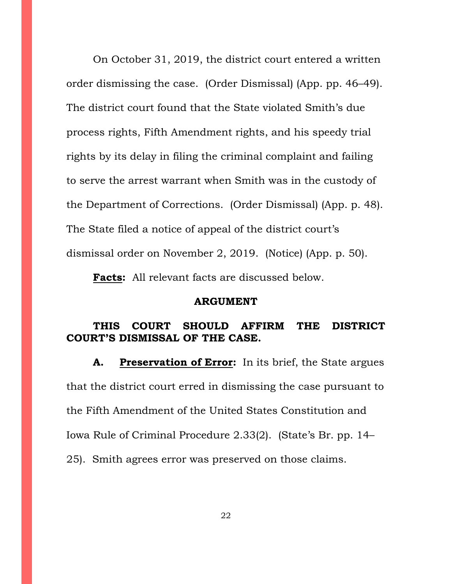On October 31, 2019, the district court entered a written order dismissing the case. (Order Dismissal) (App. pp. 46–49). The district court found that the State violated Smith's due process rights, Fifth Amendment rights, and his speedy trial rights by its delay in filing the criminal complaint and failing to serve the arrest warrant when Smith was in the custody of the Department of Corrections. (Order Dismissal) (App. p. 48). The State filed a notice of appeal of the district court's dismissal order on November 2, 2019. (Notice) (App. p. 50).

**Facts:** All relevant facts are discussed below.

#### **ARGUMENT**

## **THIS COURT SHOULD AFFIRM THE DISTRICT COURT'S DISMISSAL OF THE CASE.**

**A. Preservation of Error:** In its brief, the State argues that the district court erred in dismissing the case pursuant to the Fifth Amendment of the United States Constitution and Iowa Rule of Criminal Procedure 2.33(2). (State's Br. pp. 14– 25). Smith agrees error was preserved on those claims.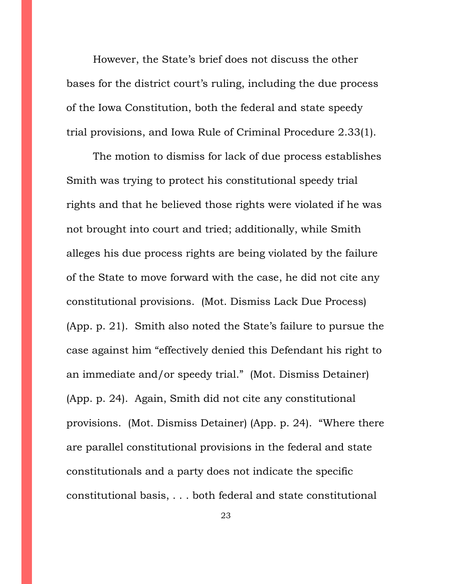However, the State's brief does not discuss the other bases for the district court's ruling, including the due process of the Iowa Constitution, both the federal and state speedy trial provisions, and Iowa Rule of Criminal Procedure 2.33(1).

The motion to dismiss for lack of due process establishes Smith was trying to protect his constitutional speedy trial rights and that he believed those rights were violated if he was not brought into court and tried; additionally, while Smith alleges his due process rights are being violated by the failure of the State to move forward with the case, he did not cite any constitutional provisions. (Mot. Dismiss Lack Due Process) (App. p. 21). Smith also noted the State's failure to pursue the case against him "effectively denied this Defendant his right to an immediate and/or speedy trial." (Mot. Dismiss Detainer) (App. p. 24). Again, Smith did not cite any constitutional provisions. (Mot. Dismiss Detainer) (App. p. 24). "Where there are parallel constitutional provisions in the federal and state constitutionals and a party does not indicate the specific constitutional basis, . . . both federal and state constitutional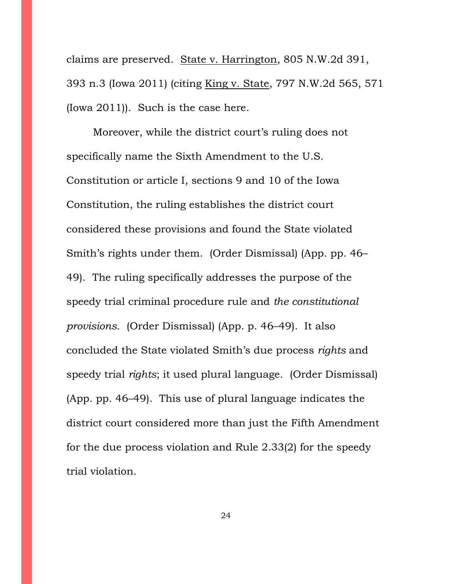claims are preserved. State v. Harrington, 805 N.W.2d 391, 393 n.3 (Iowa 2011) (citing King v. State, 797 N.W.2d 565, 571 (Iowa 2011)). Such is the case here.

Moreover, while the district court's ruling does not specifically name the Sixth Amendment to the U.S. Constitution or article I, sections 9 and 10 of the Iowa Constitution, the ruling establishes the district court considered these provisions and found the State violated Smith's rights under them. (Order Dismissal) (App. pp. 46– 49). The ruling specifically addresses the purpose of the speedy trial criminal procedure rule and *the constitutional provisions*. (Order Dismissal) (App. p. 46–49). It also concluded the State violated Smith's due process *rights* and speedy trial *rights*; it used plural language. (Order Dismissal) (App. pp. 46–49). This use of plural language indicates the district court considered more than just the Fifth Amendment for the due process violation and Rule 2.33(2) for the speedy trial violation.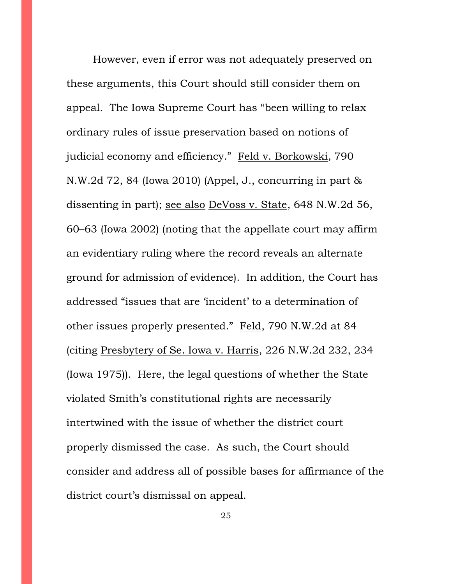However, even if error was not adequately preserved on these arguments, this Court should still consider them on appeal. The Iowa Supreme Court has "been willing to relax ordinary rules of issue preservation based on notions of judicial economy and efficiency." Feld v. Borkowski, 790 N.W.2d 72, 84 (Iowa 2010) (Appel, J., concurring in part & dissenting in part); see also DeVoss v. State, 648 N.W.2d 56, 60–63 (Iowa 2002) (noting that the appellate court may affirm an evidentiary ruling where the record reveals an alternate ground for admission of evidence). In addition, the Court has addressed "issues that are 'incident' to a determination of other issues properly presented." Feld, 790 N.W.2d at 84 (citing Presbytery of Se. Iowa v. Harris, 226 N.W.2d 232, 234 (Iowa 1975)). Here, the legal questions of whether the State violated Smith's constitutional rights are necessarily intertwined with the issue of whether the district court properly dismissed the case. As such, the Court should consider and address all of possible bases for affirmance of the district court's dismissal on appeal.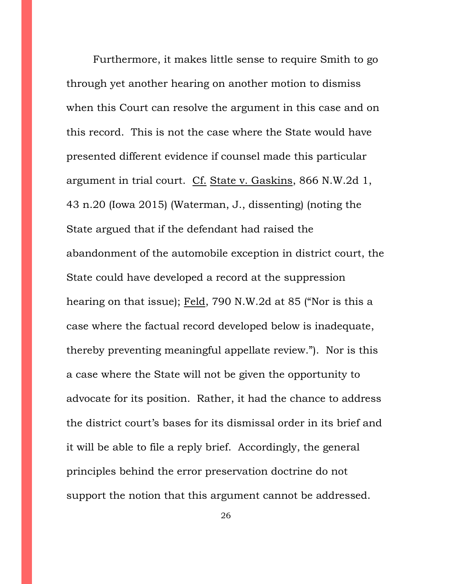Furthermore, it makes little sense to require Smith to go through yet another hearing on another motion to dismiss when this Court can resolve the argument in this case and on this record. This is not the case where the State would have presented different evidence if counsel made this particular argument in trial court. Cf. State v. Gaskins, 866 N.W.2d 1, 43 n.20 (Iowa 2015) (Waterman, J., dissenting) (noting the State argued that if the defendant had raised the abandonment of the automobile exception in district court, the State could have developed a record at the suppression hearing on that issue); Feld, 790 N.W.2d at 85 ("Nor is this a case where the factual record developed below is inadequate, thereby preventing meaningful appellate review."). Nor is this a case where the State will not be given the opportunity to advocate for its position. Rather, it had the chance to address the district court's bases for its dismissal order in its brief and it will be able to file a reply brief. Accordingly, the general principles behind the error preservation doctrine do not support the notion that this argument cannot be addressed.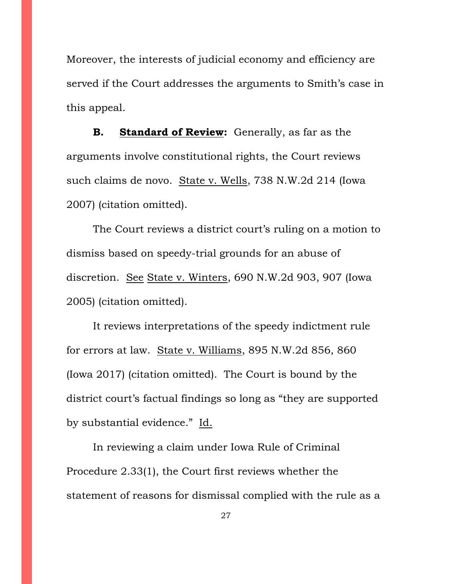Moreover, the interests of judicial economy and efficiency are served if the Court addresses the arguments to Smith's case in this appeal.

**B. Standard of Review:** Generally, as far as the arguments involve constitutional rights, the Court reviews such claims de novo. State v. Wells, 738 N.W.2d 214 (Iowa 2007) (citation omitted).

The Court reviews a district court's ruling on a motion to dismiss based on speedy-trial grounds for an abuse of discretion. See State v. Winters, 690 N.W.2d 903, 907 (Iowa 2005) (citation omitted).

It reviews interpretations of the speedy indictment rule for errors at law. State v. Williams, 895 N.W.2d 856, 860 (Iowa 2017) (citation omitted). The Court is bound by the district court's factual findings so long as "they are supported by substantial evidence." Id.

In reviewing a claim under Iowa Rule of Criminal Procedure 2.33(1), the Court first reviews whether the statement of reasons for dismissal complied with the rule as a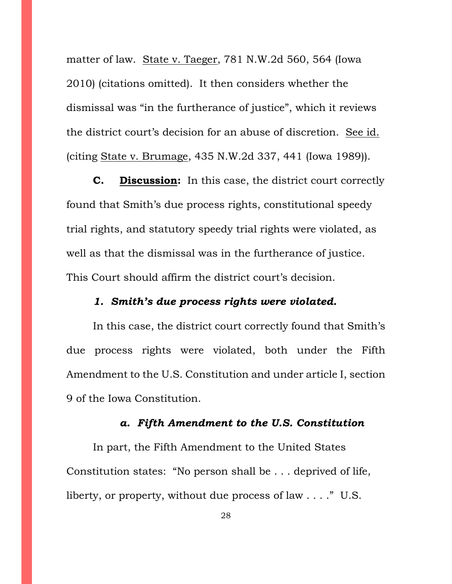matter of law. State v. Taeger, 781 N.W.2d 560, 564 (Iowa 2010) (citations omitted). It then considers whether the dismissal was "in the furtherance of justice", which it reviews the district court's decision for an abuse of discretion. See id. (citing State v. Brumage, 435 N.W.2d 337, 441 (Iowa 1989)).

**C. Discussion:** In this case, the district court correctly found that Smith's due process rights, constitutional speedy trial rights, and statutory speedy trial rights were violated, as well as that the dismissal was in the furtherance of justice. This Court should affirm the district court's decision.

### *1. Smith's due process rights were violated.*

In this case, the district court correctly found that Smith's due process rights were violated, both under the Fifth Amendment to the U.S. Constitution and under article I, section 9 of the Iowa Constitution.

### *a. Fifth Amendment to the U.S. Constitution*

In part, the Fifth Amendment to the United States Constitution states: "No person shall be . . . deprived of life, liberty, or property, without due process of law . . . ." U.S.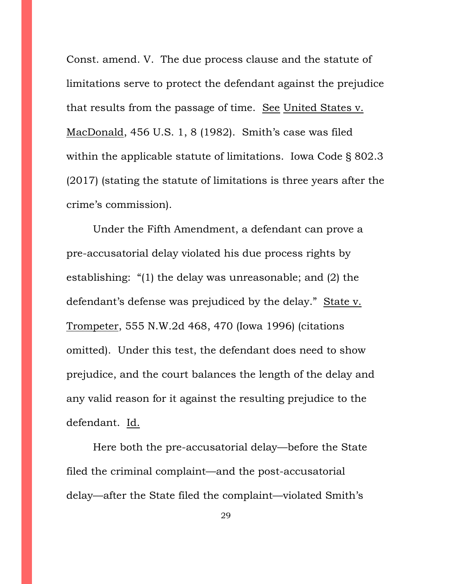Const. amend. V. The due process clause and the statute of limitations serve to protect the defendant against the prejudice that results from the passage of time. See United States v. MacDonald, 456 U.S. 1, 8 (1982). Smith's case was filed within the applicable statute of limitations. Iowa Code § 802.3 (2017) (stating the statute of limitations is three years after the crime's commission).

Under the Fifth Amendment, a defendant can prove a pre-accusatorial delay violated his due process rights by establishing: "(1) the delay was unreasonable; and (2) the defendant's defense was prejudiced by the delay." State v. Trompeter, 555 N.W.2d 468, 470 (Iowa 1996) (citations omitted). Under this test, the defendant does need to show prejudice, and the court balances the length of the delay and any valid reason for it against the resulting prejudice to the defendant. Id.

Here both the pre-accusatorial delay—before the State filed the criminal complaint—and the post-accusatorial delay—after the State filed the complaint—violated Smith's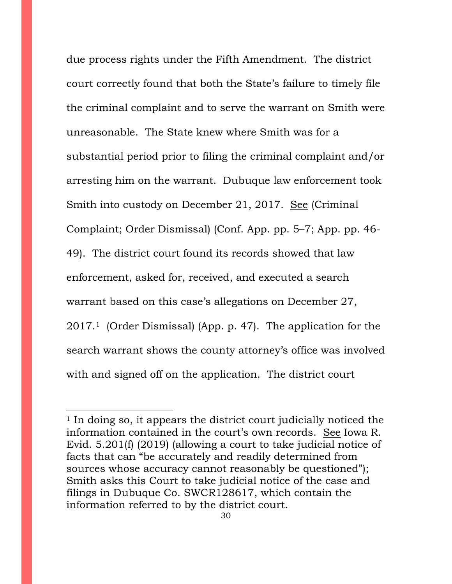due process rights under the Fifth Amendment. The district court correctly found that both the State's failure to timely file the criminal complaint and to serve the warrant on Smith were unreasonable. The State knew where Smith was for a substantial period prior to filing the criminal complaint and/or arresting him on the warrant. Dubuque law enforcement took Smith into custody on December 21, 2017. See (Criminal Complaint; Order Dismissal) (Conf. App. pp. 5–7; App. pp. 46- 49). The district court found its records showed that law enforcement, asked for, received, and executed a search warrant based on this case's allegations on December 27, 2017.[1](#page-29-0) (Order Dismissal) (App. p. 47). The application for the search warrant shows the county attorney's office was involved with and signed off on the application. The district court

 $\overline{a}$ 

<span id="page-29-0"></span><sup>1</sup> In doing so, it appears the district court judicially noticed the information contained in the court's own records. See Iowa R. Evid. 5.201(f) (2019) (allowing a court to take judicial notice of facts that can "be accurately and readily determined from sources whose accuracy cannot reasonably be questioned"); Smith asks this Court to take judicial notice of the case and filings in Dubuque Co. SWCR128617, which contain the information referred to by the district court.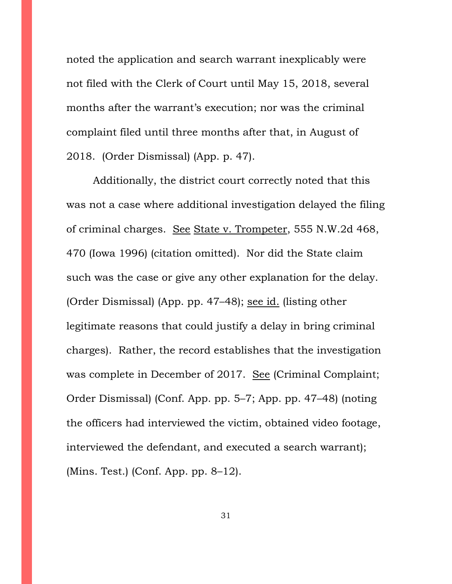noted the application and search warrant inexplicably were not filed with the Clerk of Court until May 15, 2018, several months after the warrant's execution; nor was the criminal complaint filed until three months after that, in August of 2018. (Order Dismissal) (App. p. 47).

Additionally, the district court correctly noted that this was not a case where additional investigation delayed the filing of criminal charges. See State v. Trompeter, 555 N.W.2d 468, 470 (Iowa 1996) (citation omitted). Nor did the State claim such was the case or give any other explanation for the delay. (Order Dismissal) (App. pp. 47–48); see id. (listing other legitimate reasons that could justify a delay in bring criminal charges). Rather, the record establishes that the investigation was complete in December of 2017. See (Criminal Complaint; Order Dismissal) (Conf. App. pp. 5–7; App. pp. 47–48) (noting the officers had interviewed the victim, obtained video footage, interviewed the defendant, and executed a search warrant); (Mins. Test.) (Conf. App. pp. 8–12).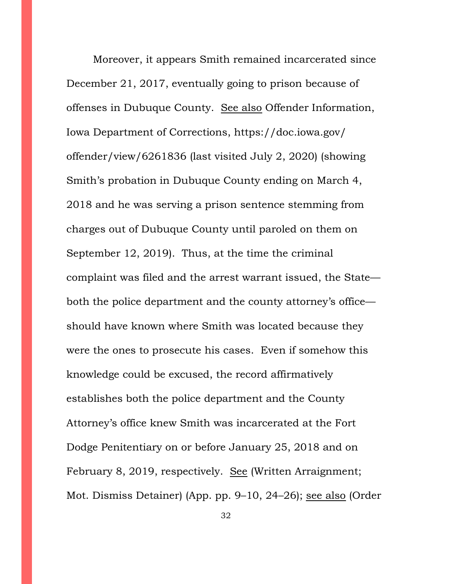Moreover, it appears Smith remained incarcerated since December 21, 2017, eventually going to prison because of offenses in Dubuque County. See also Offender Information, Iowa Department of Corrections, https://doc.iowa.gov/ offender/view/6261836 (last visited July 2, 2020) (showing Smith's probation in Dubuque County ending on March 4, 2018 and he was serving a prison sentence stemming from charges out of Dubuque County until paroled on them on September 12, 2019). Thus, at the time the criminal complaint was filed and the arrest warrant issued, the State both the police department and the county attorney's office should have known where Smith was located because they were the ones to prosecute his cases. Even if somehow this knowledge could be excused, the record affirmatively establishes both the police department and the County Attorney's office knew Smith was incarcerated at the Fort Dodge Penitentiary on or before January 25, 2018 and on February 8, 2019, respectively. See (Written Arraignment; Mot. Dismiss Detainer) (App. pp. 9–10, 24–26); see also (Order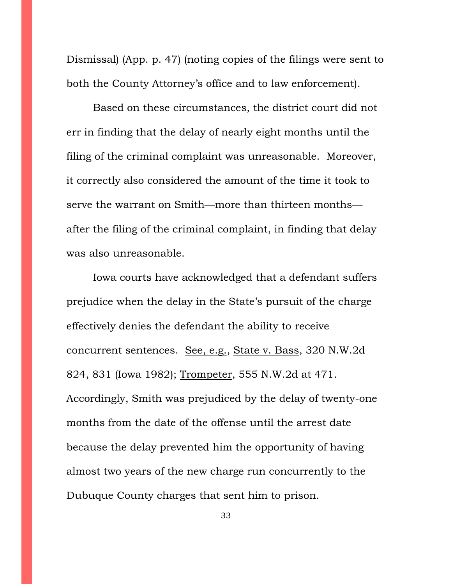Dismissal) (App. p. 47) (noting copies of the filings were sent to both the County Attorney's office and to law enforcement).

Based on these circumstances, the district court did not err in finding that the delay of nearly eight months until the filing of the criminal complaint was unreasonable. Moreover, it correctly also considered the amount of the time it took to serve the warrant on Smith—more than thirteen months after the filing of the criminal complaint, in finding that delay was also unreasonable.

Iowa courts have acknowledged that a defendant suffers prejudice when the delay in the State's pursuit of the charge effectively denies the defendant the ability to receive concurrent sentences. See, e.g., State v. Bass, 320 N.W.2d 824, 831 (Iowa 1982); Trompeter, 555 N.W.2d at 471. Accordingly, Smith was prejudiced by the delay of twenty-one months from the date of the offense until the arrest date because the delay prevented him the opportunity of having almost two years of the new charge run concurrently to the Dubuque County charges that sent him to prison.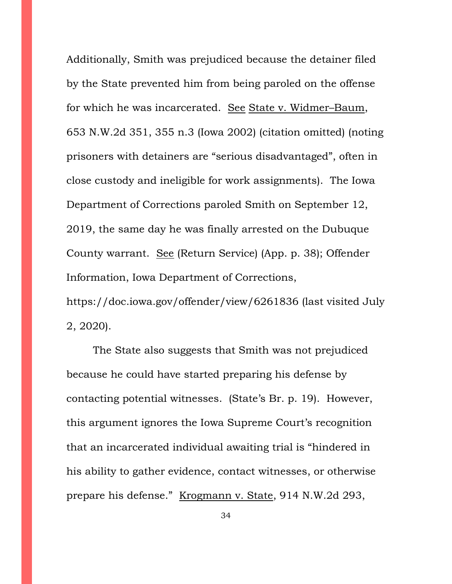Additionally, Smith was prejudiced because the detainer filed by the State prevented him from being paroled on the offense for which he was incarcerated. See State v. Widmer–Baum, 653 N.W.2d 351, 355 n.3 (Iowa 2002) (citation omitted) (noting prisoners with detainers are "serious disadvantaged", often in close custody and ineligible for work assignments). The Iowa Department of Corrections paroled Smith on September 12, 2019, the same day he was finally arrested on the Dubuque County warrant. See (Return Service) (App. p. 38); Offender Information, Iowa Department of Corrections, https://doc.iowa.gov/offender/view/6261836 (last visited July

2, 2020).

The State also suggests that Smith was not prejudiced because he could have started preparing his defense by contacting potential witnesses. (State's Br. p. 19). However, this argument ignores the Iowa Supreme Court's recognition that an incarcerated individual awaiting trial is "hindered in his ability to gather evidence, contact witnesses, or otherwise prepare his defense." Krogmann v. State, 914 N.W.2d 293,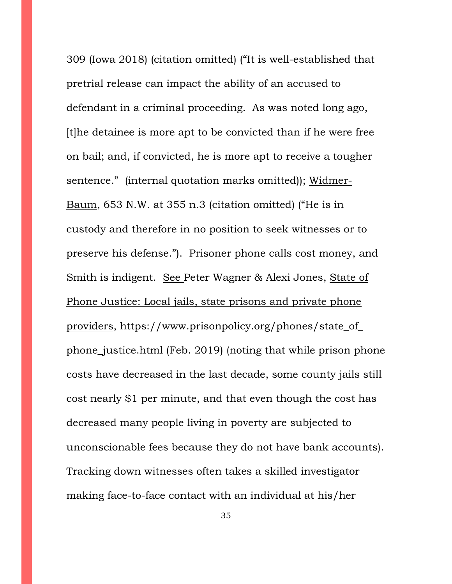309 (Iowa 2018) (citation omitted) ("It is well-established that pretrial release can impact the ability of an accused to defendant in a criminal proceeding. As was noted long ago, [t]he detainee is more apt to be convicted than if he were free on bail; and, if convicted, he is more apt to receive a tougher sentence." (internal quotation marks omitted)); Widmer-Baum, 653 N.W. at 355 n.3 (citation omitted) ("He is in custody and therefore in no position to seek witnesses or to preserve his defense."). Prisoner phone calls cost money, and Smith is indigent. See Peter Wagner & Alexi Jones, State of Phone Justice: Local jails, state prisons and private phone providers, https://www.prisonpolicy.org/phones/state\_of\_ phone\_justice.html (Feb. 2019) (noting that while prison phone costs have decreased in the last decade, some county jails still cost nearly \$1 per minute, and that even though the cost has decreased many people living in poverty are subjected to unconscionable fees because they do not have bank accounts). Tracking down witnesses often takes a skilled investigator making face-to-face contact with an individual at his/her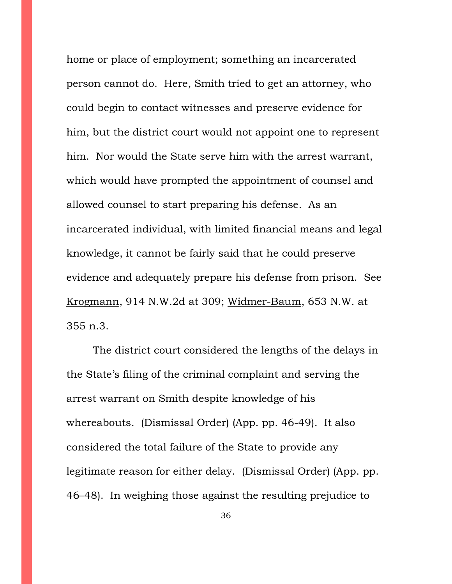home or place of employment; something an incarcerated person cannot do. Here, Smith tried to get an attorney, who could begin to contact witnesses and preserve evidence for him, but the district court would not appoint one to represent him. Nor would the State serve him with the arrest warrant, which would have prompted the appointment of counsel and allowed counsel to start preparing his defense. As an incarcerated individual, with limited financial means and legal knowledge, it cannot be fairly said that he could preserve evidence and adequately prepare his defense from prison. See Krogmann, 914 N.W.2d at 309; Widmer-Baum, 653 N.W. at 355 n.3.

The district court considered the lengths of the delays in the State's filing of the criminal complaint and serving the arrest warrant on Smith despite knowledge of his whereabouts. (Dismissal Order) (App. pp. 46-49). It also considered the total failure of the State to provide any legitimate reason for either delay. (Dismissal Order) (App. pp. 46–48). In weighing those against the resulting prejudice to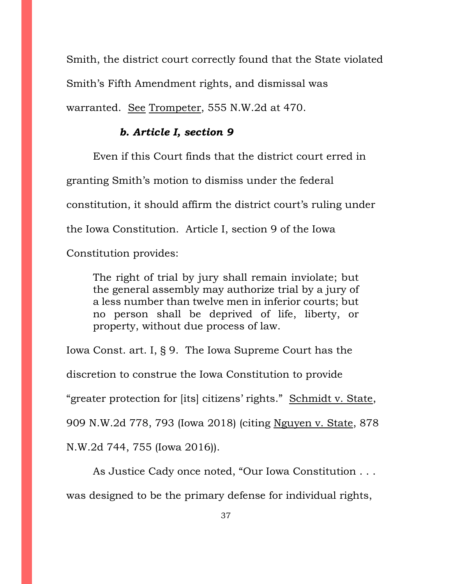Smith, the district court correctly found that the State violated Smith's Fifth Amendment rights, and dismissal was warranted. See Trompeter, 555 N.W.2d at 470.

#### *b. Article I, section 9*

Even if this Court finds that the district court erred in

granting Smith's motion to dismiss under the federal

constitution, it should affirm the district court's ruling under

the Iowa Constitution. Article I, section 9 of the Iowa

Constitution provides:

The right of trial by jury shall remain inviolate; but the general assembly may authorize trial by a jury of a less number than twelve men in inferior courts; but no person shall be deprived of life, liberty, or property, without due process of law.

Iowa Const. art. I, § 9. The Iowa Supreme Court has the discretion to construe the Iowa Constitution to provide "greater protection for [its] citizens' rights." Schmidt v. State, 909 N.W.2d 778, 793 (Iowa 2018) (citing Nguyen v. State, 878 N.W.2d 744, 755 (Iowa 2016)).

As Justice Cady once noted, "Our Iowa Constitution . . . was designed to be the primary defense for individual rights,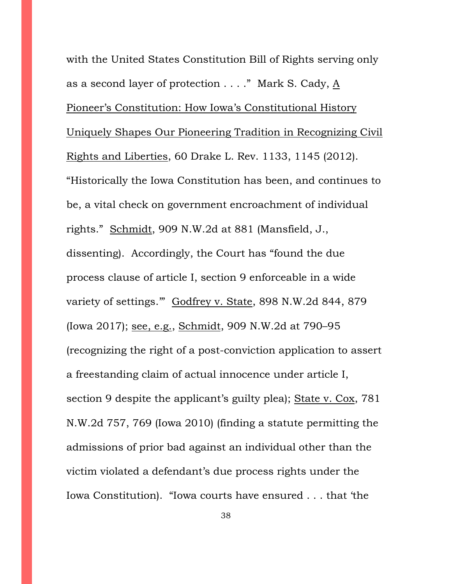with the United States Constitution Bill of Rights serving only as a second layer of protection  $\dots$ ." Mark S. Cady,  $\underline{A}$ Pioneer's Constitution: How Iowa's Constitutional History Uniquely Shapes Our Pioneering Tradition in Recognizing Civil Rights and Liberties, 60 Drake L. Rev. 1133, 1145 (2012). "Historically the Iowa Constitution has been, and continues to be, a vital check on government encroachment of individual rights." Schmidt, 909 N.W.2d at 881 (Mansfield, J., dissenting). Accordingly, the Court has "found the due process clause of article I, section 9 enforceable in a wide variety of settings.'" Godfrey v. State, 898 N.W.2d 844, 879 (Iowa 2017); see, e.g., Schmidt, 909 N.W.2d at 790–95 (recognizing the right of a post-conviction application to assert a freestanding claim of actual innocence under article I, section 9 despite the applicant's guilty plea); State v. Cox, 781 N.W.2d 757, 769 (Iowa 2010) (finding a statute permitting the admissions of prior bad against an individual other than the victim violated a defendant's due process rights under the Iowa Constitution). "Iowa courts have ensured . . . that 'the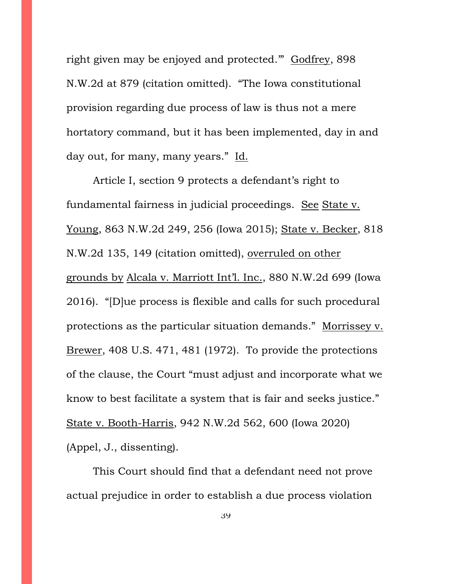right given may be enjoyed and protected.'" Godfrey, 898 N.W.2d at 879 (citation omitted). "The Iowa constitutional provision regarding due process of law is thus not a mere hortatory command, but it has been implemented, day in and day out, for many, many years." Id.

Article I, section 9 protects a defendant's right to fundamental fairness in judicial proceedings. See State v. Young, 863 N.W.2d 249, 256 (Iowa 2015); State v. Becker, 818 N.W.2d 135, 149 (citation omitted), overruled on other grounds by Alcala v. Marriott Int'l. Inc., 880 N.W.2d 699 (Iowa 2016). "[D]ue process is flexible and calls for such procedural protections as the particular situation demands." Morrissey v. Brewer, 408 U.S. 471, 481 (1972). To provide the protections of the clause, the Court "must adjust and incorporate what we know to best facilitate a system that is fair and seeks justice." State v. Booth-Harris, 942 N.W.2d 562, 600 (Iowa 2020) (Appel, J., dissenting).

This Court should find that a defendant need not prove actual prejudice in order to establish a due process violation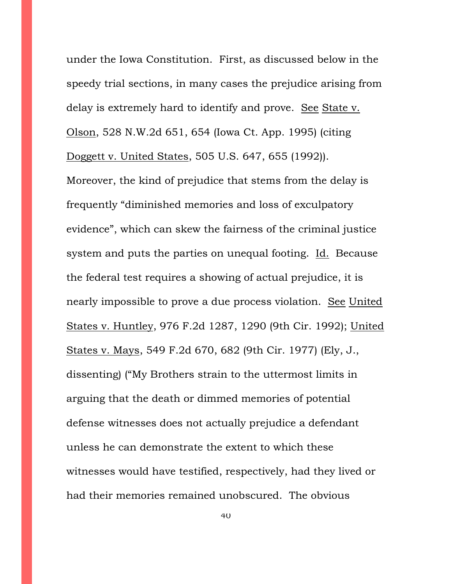under the Iowa Constitution. First, as discussed below in the speedy trial sections, in many cases the prejudice arising from delay is extremely hard to identify and prove. See State v. Olson, 528 N.W.2d 651, 654 (Iowa Ct. App. 1995) (citing Doggett v. United States, 505 U.S. 647, 655 (1992)).

Moreover, the kind of prejudice that stems from the delay is frequently "diminished memories and loss of exculpatory evidence", which can skew the fairness of the criminal justice system and puts the parties on unequal footing. Id. Because the federal test requires a showing of actual prejudice, it is nearly impossible to prove a due process violation. See United States v. Huntley, 976 F.2d 1287, 1290 (9th Cir. 1992); United States v. Mays, 549 F.2d 670, 682 (9th Cir. 1977) (Ely, J., dissenting) ("My Brothers strain to the uttermost limits in arguing that the death or dimmed memories of potential defense witnesses does not actually prejudice a defendant unless he can demonstrate the extent to which these witnesses would have testified, respectively, had they lived or had their memories remained unobscured. The obvious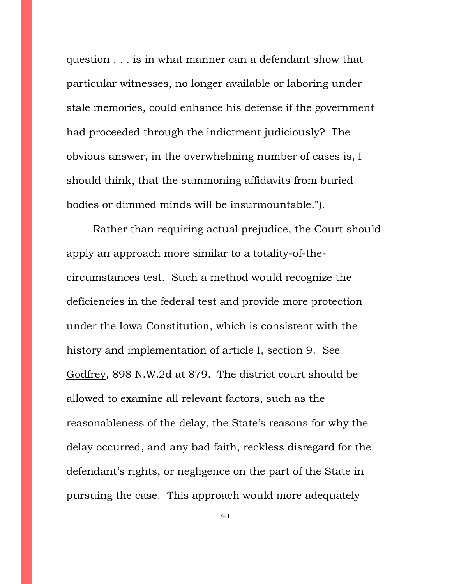question . . . is in what manner can a defendant show that particular witnesses, no longer available or laboring under stale memories, could enhance his defense if the government had proceeded through the indictment judiciously? The obvious answer, in the overwhelming number of cases is, I should think, that the summoning affidavits from buried bodies or dimmed minds will be insurmountable.").

Rather than requiring actual prejudice, the Court should apply an approach more similar to a totality-of-thecircumstances test. Such a method would recognize the deficiencies in the federal test and provide more protection under the Iowa Constitution, which is consistent with the history and implementation of article I, section 9. See Godfrey, 898 N.W.2d at 879. The district court should be allowed to examine all relevant factors, such as the reasonableness of the delay, the State's reasons for why the delay occurred, and any bad faith, reckless disregard for the defendant's rights, or negligence on the part of the State in pursuing the case. This approach would more adequately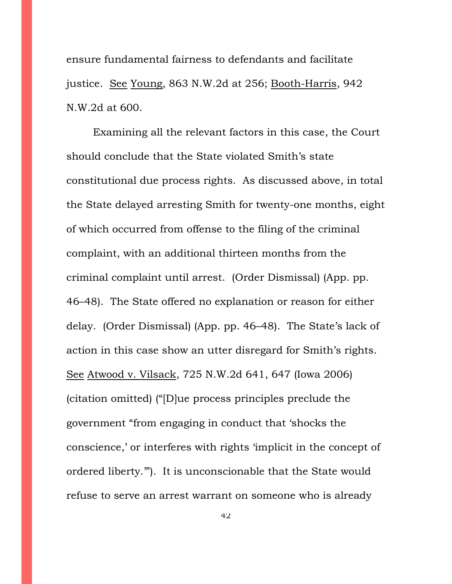ensure fundamental fairness to defendants and facilitate justice. See Young, 863 N.W.2d at 256; Booth-Harris, 942 N.W.2d at 600.

Examining all the relevant factors in this case, the Court should conclude that the State violated Smith's state constitutional due process rights. As discussed above, in total the State delayed arresting Smith for twenty-one months, eight of which occurred from offense to the filing of the criminal complaint, with an additional thirteen months from the criminal complaint until arrest. (Order Dismissal) (App. pp. 46–48). The State offered no explanation or reason for either delay. (Order Dismissal) (App. pp. 46–48). The State's lack of action in this case show an utter disregard for Smith's rights. See Atwood v. Vilsack, 725 N.W.2d 641, 647 (Iowa 2006) (citation omitted) ("[D]ue process principles preclude the government "from engaging in conduct that 'shocks the conscience,' or interferes with rights 'implicit in the concept of ordered liberty.'"). It is unconscionable that the State would refuse to serve an arrest warrant on someone who is already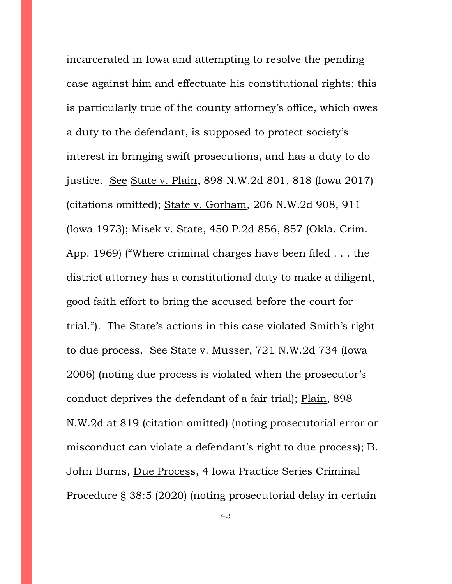incarcerated in Iowa and attempting to resolve the pending case against him and effectuate his constitutional rights; this is particularly true of the county attorney's office, which owes a duty to the defendant, is supposed to protect society's interest in bringing swift prosecutions, and has a duty to do justice. See State v. Plain, 898 N.W.2d 801, 818 (Iowa 2017) (citations omitted); State v. Gorham, 206 N.W.2d 908, 911 (Iowa 1973); Misek v. State, 450 P.2d 856, 857 (Okla. Crim. App. 1969) ("Where criminal charges have been filed . . . the district attorney has a constitutional duty to make a diligent, good faith effort to bring the accused before the court for trial."). The State's actions in this case violated Smith's right to due process. See State v. Musser, 721 N.W.2d 734 (Iowa 2006) (noting due process is violated when the prosecutor's conduct deprives the defendant of a fair trial); Plain, 898 N.W.2d at 819 (citation omitted) (noting prosecutorial error or misconduct can violate a defendant's right to due process); B. John Burns, Due Process, 4 Iowa Practice Series Criminal Procedure § 38:5 (2020) (noting prosecutorial delay in certain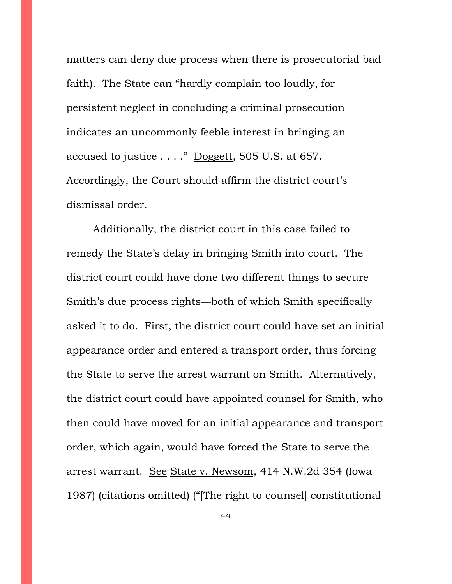matters can deny due process when there is prosecutorial bad faith). The State can "hardly complain too loudly, for persistent neglect in concluding a criminal prosecution indicates an uncommonly feeble interest in bringing an accused to justice  $\dots$ ." Doggett, 505 U.S. at 657. Accordingly, the Court should affirm the district court's dismissal order.

Additionally, the district court in this case failed to remedy the State's delay in bringing Smith into court. The district court could have done two different things to secure Smith's due process rights—both of which Smith specifically asked it to do. First, the district court could have set an initial appearance order and entered a transport order, thus forcing the State to serve the arrest warrant on Smith. Alternatively, the district court could have appointed counsel for Smith, who then could have moved for an initial appearance and transport order, which again, would have forced the State to serve the arrest warrant. See State v. Newsom, 414 N.W.2d 354 (Iowa 1987) (citations omitted) ("[The right to counsel] constitutional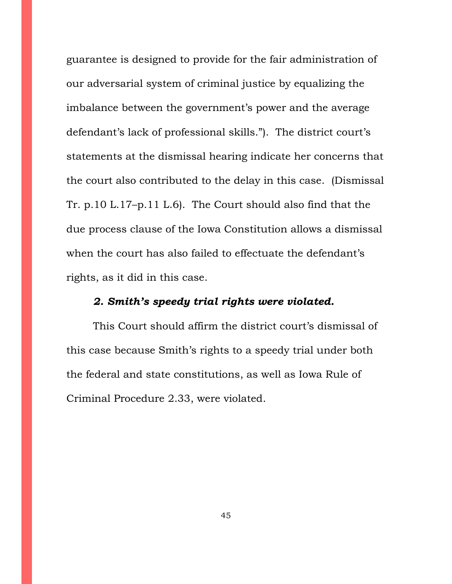guarantee is designed to provide for the fair administration of our adversarial system of criminal justice by equalizing the imbalance between the government's power and the average defendant's lack of professional skills."). The district court's statements at the dismissal hearing indicate her concerns that the court also contributed to the delay in this case. (Dismissal Tr. p.10 L.17–p.11 L.6). The Court should also find that the due process clause of the Iowa Constitution allows a dismissal when the court has also failed to effectuate the defendant's rights, as it did in this case.

## *2. Smith's speedy trial rights were violated.*

This Court should affirm the district court's dismissal of this case because Smith's rights to a speedy trial under both the federal and state constitutions, as well as Iowa Rule of Criminal Procedure 2.33, were violated.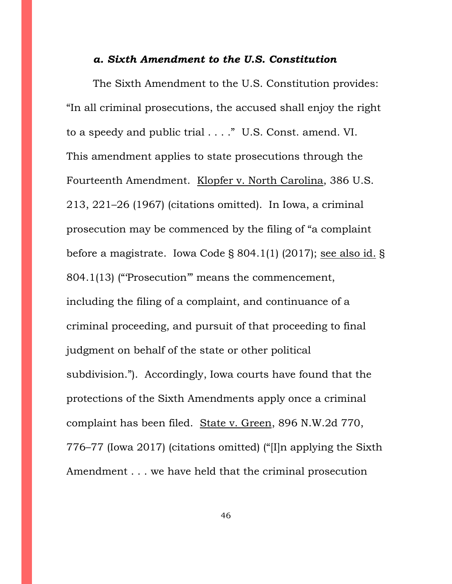#### *a. Sixth Amendment to the U.S. Constitution*

The Sixth Amendment to the U.S. Constitution provides: "In all criminal prosecutions, the accused shall enjoy the right to a speedy and public trial . . . ." U.S. Const. amend. VI. This amendment applies to state prosecutions through the Fourteenth Amendment. Klopfer v. North Carolina, 386 U.S. 213, 221–26 (1967) (citations omitted). In Iowa, a criminal prosecution may be commenced by the filing of "a complaint before a magistrate. Iowa Code § 804.1(1) (2017); see also id. § 804.1(13) ("'Prosecution'" means the commencement, including the filing of a complaint, and continuance of a criminal proceeding, and pursuit of that proceeding to final judgment on behalf of the state or other political subdivision."). Accordingly, Iowa courts have found that the protections of the Sixth Amendments apply once a criminal complaint has been filed. State v. Green, 896 N.W.2d 770, 776–77 (Iowa 2017) (citations omitted) ("[I]n applying the Sixth Amendment . . . we have held that the criminal prosecution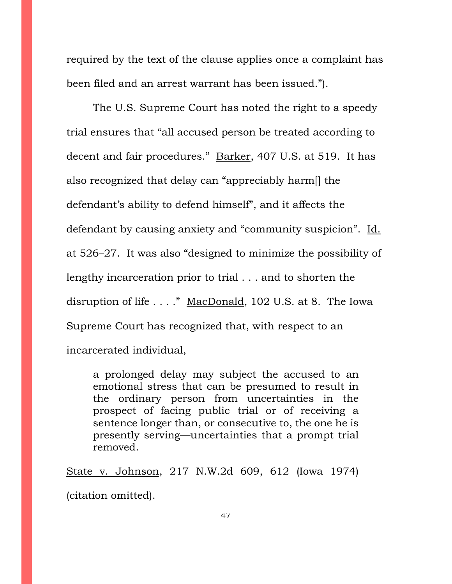required by the text of the clause applies once a complaint has been filed and an arrest warrant has been issued.").

The U.S. Supreme Court has noted the right to a speedy trial ensures that "all accused person be treated according to decent and fair procedures." Barker, 407 U.S. at 519. It has also recognized that delay can "appreciably harm[] the defendant's ability to defend himself", and it affects the defendant by causing anxiety and "community suspicion". Id. at 526–27. It was also "designed to minimize the possibility of lengthy incarceration prior to trial . . . and to shorten the disruption of life . . . ." MacDonald, 102 U.S. at 8. The Iowa Supreme Court has recognized that, with respect to an incarcerated individual,

a prolonged delay may subject the accused to an emotional stress that can be presumed to result in the ordinary person from uncertainties in the prospect of facing public trial or of receiving a sentence longer than, or consecutive to, the one he is presently serving—uncertainties that a prompt trial removed.

State v. Johnson, 217 N.W.2d 609, 612 (Iowa 1974) (citation omitted).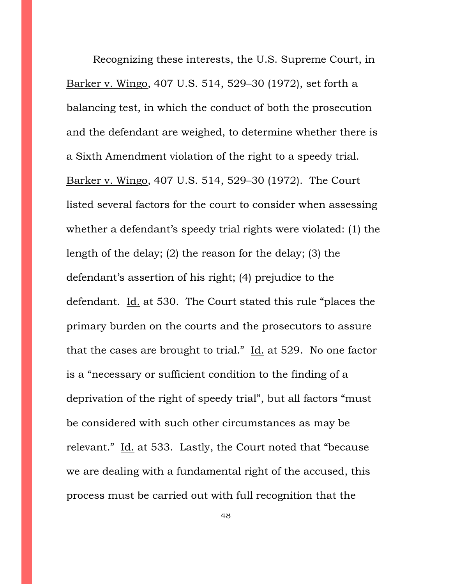Recognizing these interests, the U.S. Supreme Court, in Barker v. Wingo, 407 U.S. 514, 529–30 (1972), set forth a balancing test, in which the conduct of both the prosecution and the defendant are weighed, to determine whether there is a Sixth Amendment violation of the right to a speedy trial. Barker v. Wingo, 407 U.S. 514, 529–30 (1972). The Court listed several factors for the court to consider when assessing whether a defendant's speedy trial rights were violated: (1) the length of the delay; (2) the reason for the delay; (3) the defendant's assertion of his right; (4) prejudice to the defendant. Id. at 530. The Court stated this rule "places the primary burden on the courts and the prosecutors to assure that the cases are brought to trial."  $\underline{Id}$ . at 529. No one factor is a "necessary or sufficient condition to the finding of a deprivation of the right of speedy trial", but all factors "must be considered with such other circumstances as may be relevant." Id. at 533. Lastly, the Court noted that "because we are dealing with a fundamental right of the accused, this process must be carried out with full recognition that the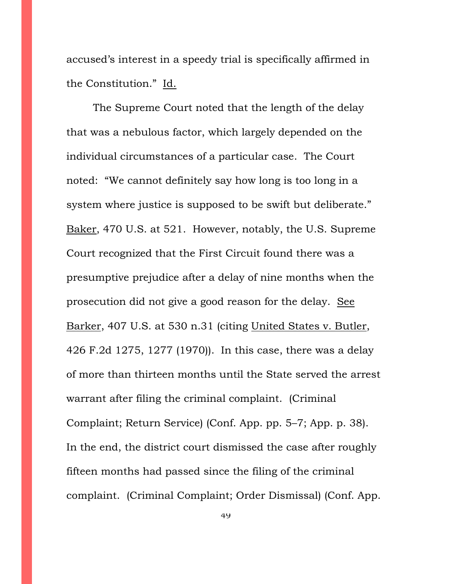accused's interest in a speedy trial is specifically affirmed in the Constitution." Id.

The Supreme Court noted that the length of the delay that was a nebulous factor, which largely depended on the individual circumstances of a particular case. The Court noted: "We cannot definitely say how long is too long in a system where justice is supposed to be swift but deliberate." Baker, 470 U.S. at 521. However, notably, the U.S. Supreme Court recognized that the First Circuit found there was a presumptive prejudice after a delay of nine months when the prosecution did not give a good reason for the delay. See Barker, 407 U.S. at 530 n.31 (citing United States v. Butler, 426 F.2d 1275, 1277 (1970)). In this case, there was a delay of more than thirteen months until the State served the arrest warrant after filing the criminal complaint. (Criminal Complaint; Return Service) (Conf. App. pp. 5–7; App. p. 38). In the end, the district court dismissed the case after roughly fifteen months had passed since the filing of the criminal complaint. (Criminal Complaint; Order Dismissal) (Conf. App.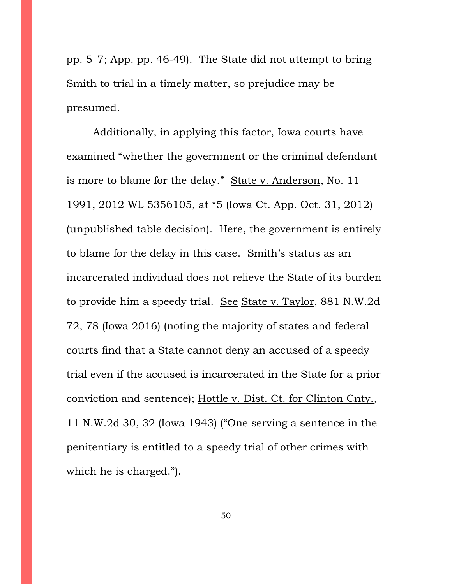pp. 5–7; App. pp. 46-49). The State did not attempt to bring Smith to trial in a timely matter, so prejudice may be presumed.

Additionally, in applying this factor, Iowa courts have examined "whether the government or the criminal defendant is more to blame for the delay." State v. Anderson, No. 11– 1991, 2012 WL 5356105, at \*5 (Iowa Ct. App. Oct. 31, 2012) (unpublished table decision). Here, the government is entirely to blame for the delay in this case. Smith's status as an incarcerated individual does not relieve the State of its burden to provide him a speedy trial. See State v. Taylor, 881 N.W.2d 72, 78 (Iowa 2016) (noting the majority of states and federal courts find that a State cannot deny an accused of a speedy trial even if the accused is incarcerated in the State for a prior conviction and sentence); Hottle v. Dist. Ct. for Clinton Cnty., 11 N.W.2d 30, 32 (Iowa 1943) ("One serving a sentence in the penitentiary is entitled to a speedy trial of other crimes with which he is charged.").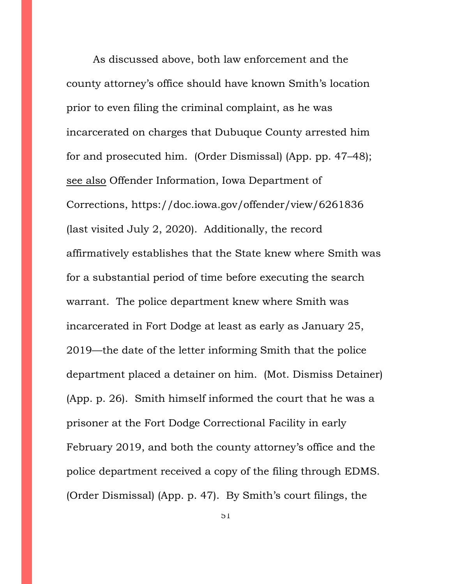As discussed above, both law enforcement and the county attorney's office should have known Smith's location prior to even filing the criminal complaint, as he was incarcerated on charges that Dubuque County arrested him for and prosecuted him. (Order Dismissal) (App. pp. 47–48); see also Offender Information, Iowa Department of Corrections, https://doc.iowa.gov/offender/view/6261836 (last visited July 2, 2020). Additionally, the record affirmatively establishes that the State knew where Smith was for a substantial period of time before executing the search warrant. The police department knew where Smith was incarcerated in Fort Dodge at least as early as January 25, 2019—the date of the letter informing Smith that the police department placed a detainer on him. (Mot. Dismiss Detainer) (App. p. 26). Smith himself informed the court that he was a prisoner at the Fort Dodge Correctional Facility in early February 2019, and both the county attorney's office and the police department received a copy of the filing through EDMS. (Order Dismissal) (App. p. 47). By Smith's court filings, the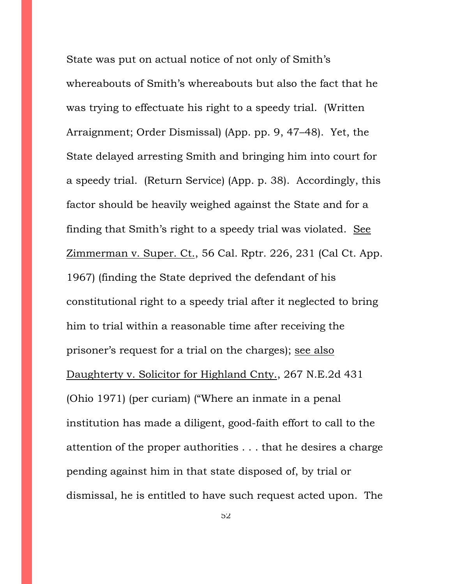State was put on actual notice of not only of Smith's whereabouts of Smith's whereabouts but also the fact that he was trying to effectuate his right to a speedy trial. (Written Arraignment; Order Dismissal) (App. pp. 9, 47–48). Yet, the State delayed arresting Smith and bringing him into court for a speedy trial. (Return Service) (App. p. 38). Accordingly, this factor should be heavily weighed against the State and for a finding that Smith's right to a speedy trial was violated. See Zimmerman v. Super. Ct., 56 Cal. Rptr. 226, 231 (Cal Ct. App. 1967) (finding the State deprived the defendant of his constitutional right to a speedy trial after it neglected to bring him to trial within a reasonable time after receiving the prisoner's request for a trial on the charges); see also Daughterty v. Solicitor for Highland Cnty., 267 N.E.2d 431 (Ohio 1971) (per curiam) ("Where an inmate in a penal institution has made a diligent, good-faith effort to call to the attention of the proper authorities . . . that he desires a charge pending against him in that state disposed of, by trial or dismissal, he is entitled to have such request acted upon. The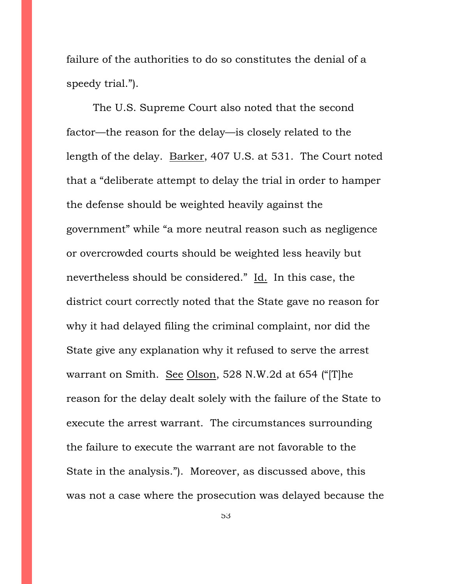failure of the authorities to do so constitutes the denial of a speedy trial.").

The U.S. Supreme Court also noted that the second factor—the reason for the delay—is closely related to the length of the delay. Barker, 407 U.S. at 531. The Court noted that a "deliberate attempt to delay the trial in order to hamper the defense should be weighted heavily against the government" while "a more neutral reason such as negligence or overcrowded courts should be weighted less heavily but nevertheless should be considered." Id. In this case, the district court correctly noted that the State gave no reason for why it had delayed filing the criminal complaint, nor did the State give any explanation why it refused to serve the arrest warrant on Smith. See Olson, 528 N.W.2d at 654 ("[T]he reason for the delay dealt solely with the failure of the State to execute the arrest warrant. The circumstances surrounding the failure to execute the warrant are not favorable to the State in the analysis."). Moreover, as discussed above, this was not a case where the prosecution was delayed because the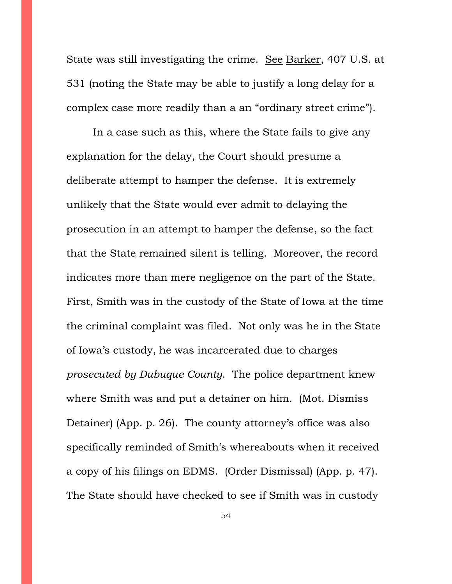State was still investigating the crime. See Barker, 407 U.S. at 531 (noting the State may be able to justify a long delay for a complex case more readily than a an "ordinary street crime").

In a case such as this, where the State fails to give any explanation for the delay, the Court should presume a deliberate attempt to hamper the defense. It is extremely unlikely that the State would ever admit to delaying the prosecution in an attempt to hamper the defense, so the fact that the State remained silent is telling. Moreover, the record indicates more than mere negligence on the part of the State. First, Smith was in the custody of the State of Iowa at the time the criminal complaint was filed. Not only was he in the State of Iowa's custody, he was incarcerated due to charges *prosecuted by Dubuque County*. The police department knew where Smith was and put a detainer on him. (Mot. Dismiss Detainer) (App. p. 26). The county attorney's office was also specifically reminded of Smith's whereabouts when it received a copy of his filings on EDMS. (Order Dismissal) (App. p. 47). The State should have checked to see if Smith was in custody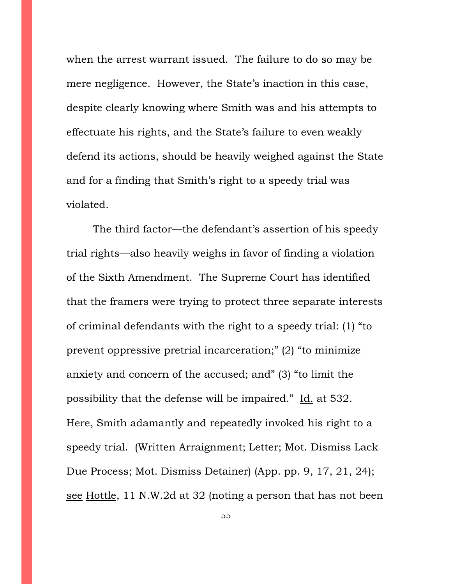when the arrest warrant issued. The failure to do so may be mere negligence. However, the State's inaction in this case, despite clearly knowing where Smith was and his attempts to effectuate his rights, and the State's failure to even weakly defend its actions, should be heavily weighed against the State and for a finding that Smith's right to a speedy trial was violated.

The third factor—the defendant's assertion of his speedy trial rights—also heavily weighs in favor of finding a violation of the Sixth Amendment. The Supreme Court has identified that the framers were trying to protect three separate interests of criminal defendants with the right to a speedy trial: (1) "to prevent oppressive pretrial incarceration;" (2) "to minimize anxiety and concern of the accused; and" (3) "to limit the possibility that the defense will be impaired." Id. at 532. Here, Smith adamantly and repeatedly invoked his right to a speedy trial. (Written Arraignment; Letter; Mot. Dismiss Lack Due Process; Mot. Dismiss Detainer) (App. pp. 9, 17, 21, 24); see Hottle, 11 N.W.2d at 32 (noting a person that has not been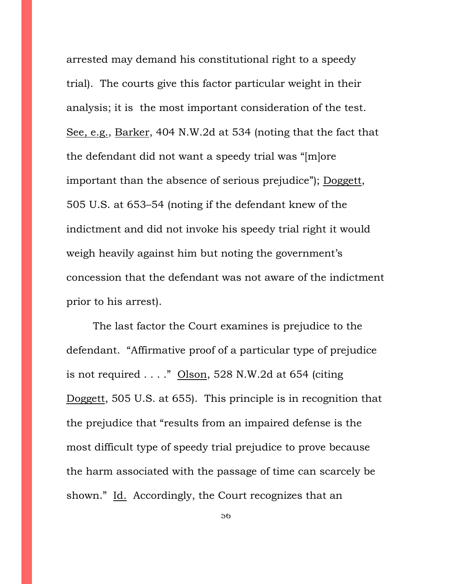arrested may demand his constitutional right to a speedy trial). The courts give this factor particular weight in their analysis; it is the most important consideration of the test. See, e.g., Barker, 404 N.W.2d at 534 (noting that the fact that the defendant did not want a speedy trial was "[m]ore important than the absence of serious prejudice"); Doggett, 505 U.S. at 653–54 (noting if the defendant knew of the indictment and did not invoke his speedy trial right it would weigh heavily against him but noting the government's concession that the defendant was not aware of the indictment prior to his arrest).

The last factor the Court examines is prejudice to the defendant. "Affirmative proof of a particular type of prejudice is not required  $\ldots$ ." Olson, 528 N.W.2d at 654 (citing Doggett, 505 U.S. at 655). This principle is in recognition that the prejudice that "results from an impaired defense is the most difficult type of speedy trial prejudice to prove because the harm associated with the passage of time can scarcely be shown." Id. Accordingly, the Court recognizes that an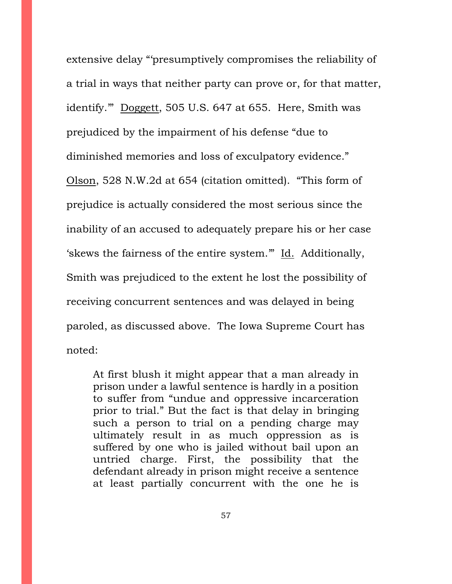extensive delay "'presumptively compromises the reliability of a trial in ways that neither party can prove or, for that matter, identify.'" Doggett, 505 U.S. 647 at 655. Here, Smith was prejudiced by the impairment of his defense "due to diminished memories and loss of exculpatory evidence."

Olson, 528 N.W.2d at 654 (citation omitted). "This form of prejudice is actually considered the most serious since the inability of an accused to adequately prepare his or her case 'skews the fairness of the entire system.'" Id. Additionally, Smith was prejudiced to the extent he lost the possibility of receiving concurrent sentences and was delayed in being paroled, as discussed above. The Iowa Supreme Court has noted:

At first blush it might appear that a man already in prison under a lawful sentence is hardly in a position to suffer from "undue and oppressive incarceration prior to trial." But the fact is that delay in bringing such a person to trial on a pending charge may ultimately result in as much oppression as is suffered by one who is jailed without bail upon an untried charge. First, the possibility that the defendant already in prison might receive a sentence at least partially concurrent with the one he is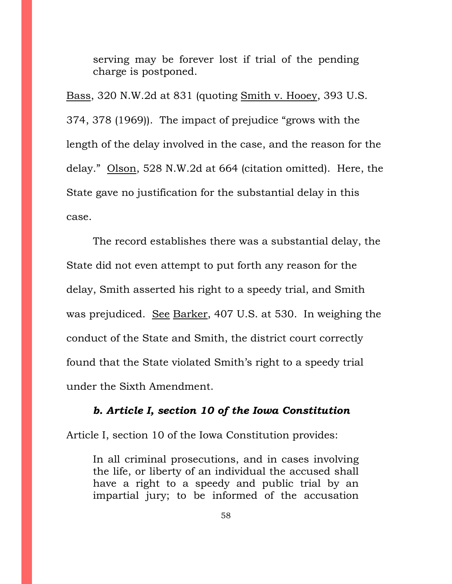serving may be forever lost if trial of the pending charge is postponed.

Bass, 320 N.W.2d at 831 (quoting Smith v. Hooey, 393 U.S. 374, 378 (1969)). The impact of prejudice "grows with the length of the delay involved in the case, and the reason for the delay." Olson, 528 N.W.2d at 664 (citation omitted). Here, the State gave no justification for the substantial delay in this case.

The record establishes there was a substantial delay, the State did not even attempt to put forth any reason for the delay, Smith asserted his right to a speedy trial, and Smith was prejudiced. See Barker, 407 U.S. at 530. In weighing the conduct of the State and Smith, the district court correctly found that the State violated Smith's right to a speedy trial under the Sixth Amendment.

## *b. Article I, section 10 of the Iowa Constitution*

Article I, section 10 of the Iowa Constitution provides:

In all criminal prosecutions, and in cases involving the life, or liberty of an individual the accused shall have a right to a speedy and public trial by an impartial jury; to be informed of the accusation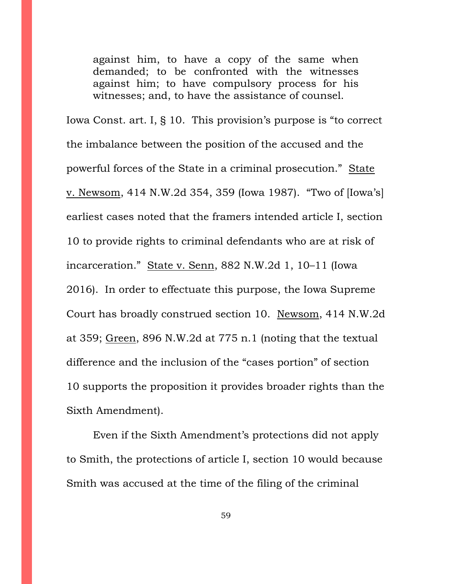against him, to have a copy of the same when demanded; to be confronted with the witnesses against him; to have compulsory process for his witnesses; and, to have the assistance of counsel.

Iowa Const. art. I, § 10. This provision's purpose is "to correct the imbalance between the position of the accused and the powerful forces of the State in a criminal prosecution." State v. Newsom, 414 N.W.2d 354, 359 (Iowa 1987). "Two of [Iowa's] earliest cases noted that the framers intended article I, section 10 to provide rights to criminal defendants who are at risk of incarceration." State v. Senn, 882 N.W.2d 1, 10–11 (Iowa 2016). In order to effectuate this purpose, the Iowa Supreme Court has broadly construed section 10. Newsom, 414 N.W.2d at 359; Green, 896 N.W.2d at 775 n.1 (noting that the textual difference and the inclusion of the "cases portion" of section 10 supports the proposition it provides broader rights than the Sixth Amendment).

Even if the Sixth Amendment's protections did not apply to Smith, the protections of article I, section 10 would because Smith was accused at the time of the filing of the criminal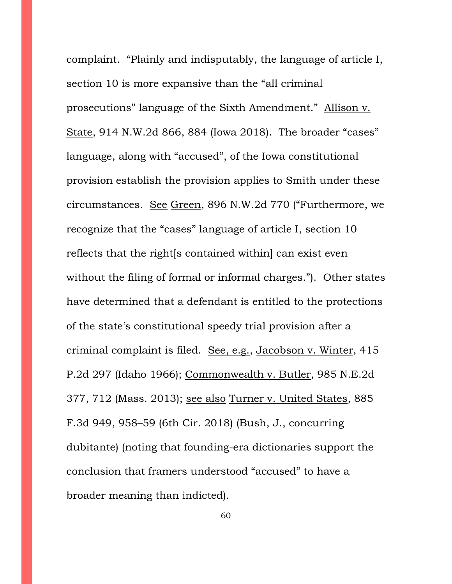complaint. "Plainly and indisputably, the language of article I, section 10 is more expansive than the "all criminal prosecutions" language of the Sixth Amendment." Allison v. State, 914 N.W.2d 866, 884 (Iowa 2018). The broader "cases" language, along with "accused", of the Iowa constitutional provision establish the provision applies to Smith under these circumstances. See Green, 896 N.W.2d 770 ("Furthermore, we recognize that the "cases" language of article I, section 10 reflects that the right[s contained within] can exist even without the filing of formal or informal charges."). Other states have determined that a defendant is entitled to the protections of the state's constitutional speedy trial provision after a criminal complaint is filed. See, e.g., Jacobson v. Winter, 415 P.2d 297 (Idaho 1966); Commonwealth v. Butler, 985 N.E.2d 377, 712 (Mass. 2013); see also Turner v. United States, 885 F.3d 949, 958–59 (6th Cir. 2018) (Bush, J., concurring dubitante) (noting that founding-era dictionaries support the conclusion that framers understood "accused" to have a broader meaning than indicted).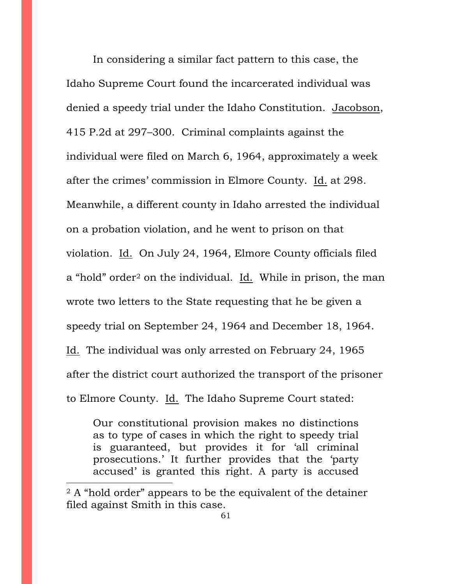In considering a similar fact pattern to this case, the Idaho Supreme Court found the incarcerated individual was denied a speedy trial under the Idaho Constitution. Jacobson, 415 P.2d at 297–300. Criminal complaints against the individual were filed on March 6, 1964, approximately a week after the crimes' commission in Elmore County. Id. at 298. Meanwhile, a different county in Idaho arrested the individual on a probation violation, and he went to prison on that violation. Id. On July 24, 1964, Elmore County officials filed a "hold" order<sup>[2](#page-60-0)</sup> on the individual. Id. While in prison, the man wrote two letters to the State requesting that he be given a speedy trial on September 24, 1964 and December 18, 1964. Id. The individual was only arrested on February 24, 1965 after the district court authorized the transport of the prisoner to Elmore County. Id. The Idaho Supreme Court stated:

Our constitutional provision makes no distinctions as to type of cases in which the right to speedy trial is guaranteed, but provides it for 'all criminal prosecutions.' It further provides that the 'party accused' is granted this right. A party is accused

<span id="page-60-0"></span><sup>&</sup>lt;sup>2</sup> A "hold order" appears to be the equivalent of the detainer filed against Smith in this case.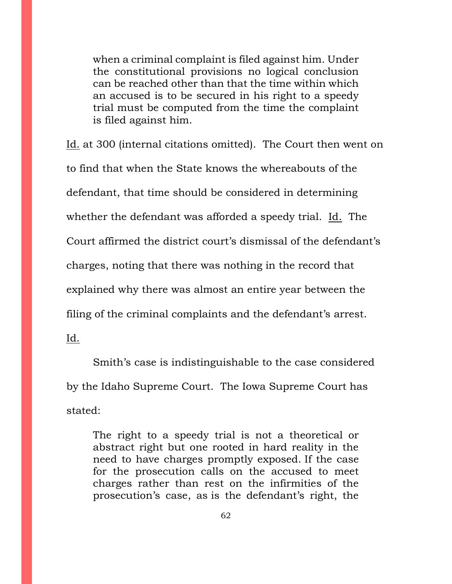when a criminal complaint is filed against him. Under the constitutional provisions no logical conclusion can be reached other than that the time within which an accused is to be secured in his right to a speedy trial must be computed from the time the complaint is filed against him.

Id. at 300 (internal citations omitted). The Court then went on to find that when the State knows the whereabouts of the defendant, that time should be considered in determining whether the defendant was afforded a speedy trial. Id. The Court affirmed the district court's dismissal of the defendant's charges, noting that there was nothing in the record that explained why there was almost an entire year between the filing of the criminal complaints and the defendant's arrest.

Id.

Smith's case is indistinguishable to the case considered by the Idaho Supreme Court. The Iowa Supreme Court has stated:

The right to a speedy trial is not a theoretical or abstract right but one rooted in hard reality in the need to have charges promptly exposed. If the case for the prosecution calls on the accused to meet charges rather than rest on the infirmities of the prosecution's case, as is the defendant's right, the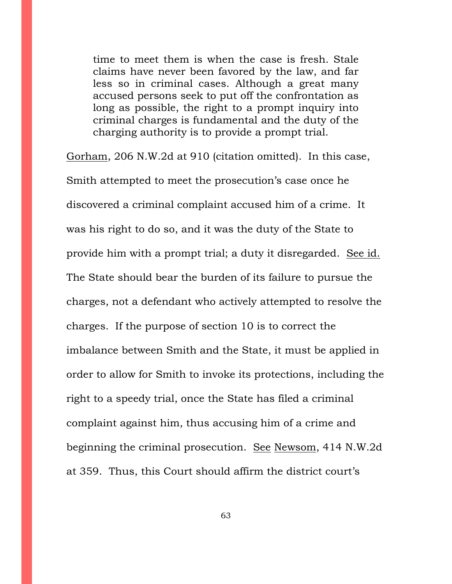time to meet them is when the case is fresh. Stale claims have never been favored by the law, and far less so in criminal cases. Although a great many accused persons seek to put off the confrontation as long as possible, the right to a prompt inquiry into criminal charges is fundamental and the duty of the charging authority is to provide a prompt trial.

Gorham, 206 N.W.2d at 910 (citation omitted). In this case, Smith attempted to meet the prosecution's case once he discovered a criminal complaint accused him of a crime. It was his right to do so, and it was the duty of the State to provide him with a prompt trial; a duty it disregarded. See id. The State should bear the burden of its failure to pursue the charges, not a defendant who actively attempted to resolve the charges. If the purpose of section 10 is to correct the imbalance between Smith and the State, it must be applied in order to allow for Smith to invoke its protections, including the right to a speedy trial, once the State has filed a criminal complaint against him, thus accusing him of a crime and beginning the criminal prosecution. See Newsom, 414 N.W.2d at 359. Thus, this Court should affirm the district court's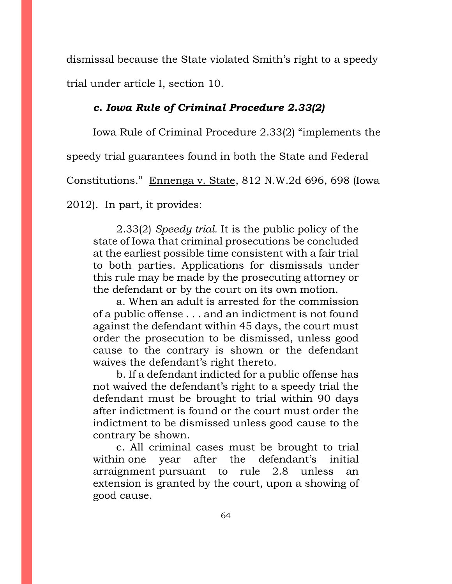dismissal because the State violated Smith's right to a speedy trial under article I, section 10.

## *c. Iowa Rule of Criminal Procedure 2.33(2)*

Iowa Rule of Criminal Procedure 2.33(2) "implements the

speedy trial guarantees found in both the State and Federal

Constitutions." Ennenga v. State, 812 N.W.2d 696, 698 (Iowa

2012). In part, it provides:

2.33(2) *Speedy trial.* It is the public policy of the state of Iowa that criminal prosecutions be concluded at the earliest possible time consistent with a fair trial to both parties. Applications for dismissals under this rule may be made by the prosecuting attorney or the defendant or by the court on its own motion.

a. When an adult is arrested for the commission of a public offense . . . and an indictment is not found against the defendant within 45 days, the court must order the prosecution to be dismissed, unless good cause to the contrary is shown or the defendant waives the defendant's right thereto.

b. If a defendant indicted for a public offense has not waived the defendant's right to a speedy trial the defendant must be brought to trial within 90 days after indictment is found or the court must order the indictment to be dismissed unless good cause to the contrary be shown.

c. All criminal cases must be brought to trial within one year after the defendant's initial arraignment pursuant to rule 2.8 unless an extension is granted by the court, upon a showing of good cause.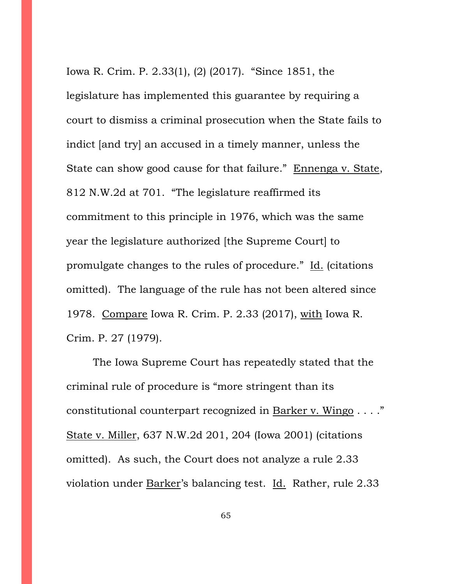Iowa R. Crim. P. 2.33(1), (2) (2017). "Since 1851, the legislature has implemented this guarantee by requiring a court to dismiss a criminal prosecution when the State fails to indict [and try] an accused in a timely manner, unless the State can show good cause for that failure." Ennenga v. State, 812 N.W.2d at 701. "The legislature reaffirmed its commitment to this principle in 1976, which was the same year the legislature authorized [the Supreme Court] to promulgate changes to the rules of procedure." Id. (citations omitted). The language of the rule has not been altered since 1978. Compare Iowa R. Crim. P. 2.33 (2017), with Iowa R. Crim. P. 27 (1979).

The Iowa Supreme Court has repeatedly stated that the criminal rule of procedure is "more stringent than its constitutional counterpart recognized in Barker v. Wingo . . . ." State v. Miller, 637 N.W.2d 201, 204 (Iowa 2001) (citations omitted). As such, the Court does not analyze a rule 2.33 violation under Barker's balancing test. Id. Rather, rule 2.33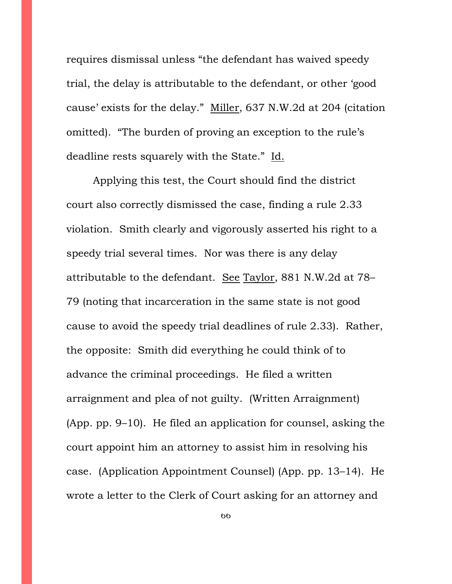requires dismissal unless "the defendant has waived speedy trial, the delay is attributable to the defendant, or other 'good cause' exists for the delay." Miller, 637 N.W.2d at 204 (citation omitted). "The burden of proving an exception to the rule's deadline rests squarely with the State." Id.

Applying this test, the Court should find the district court also correctly dismissed the case, finding a rule 2.33 violation. Smith clearly and vigorously asserted his right to a speedy trial several times. Nor was there is any delay attributable to the defendant. See Taylor, 881 N.W.2d at 78– 79 (noting that incarceration in the same state is not good cause to avoid the speedy trial deadlines of rule 2.33). Rather, the opposite: Smith did everything he could think of to advance the criminal proceedings. He filed a written arraignment and plea of not guilty. (Written Arraignment) (App. pp. 9–10). He filed an application for counsel, asking the court appoint him an attorney to assist him in resolving his case. (Application Appointment Counsel) (App. pp. 13–14). He wrote a letter to the Clerk of Court asking for an attorney and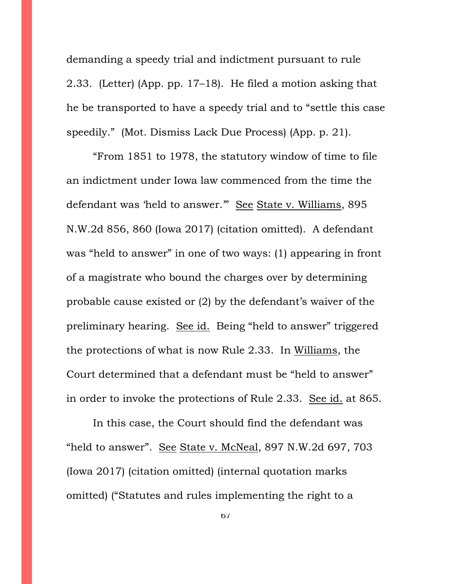demanding a speedy trial and indictment pursuant to rule 2.33. (Letter) (App. pp. 17–18). He filed a motion asking that he be transported to have a speedy trial and to "settle this case speedily." (Mot. Dismiss Lack Due Process) (App. p. 21).

"From 1851 to 1978, the statutory window of time to file an indictment under Iowa law commenced from the time the defendant was 'held to answer." See State v. Williams, 895 N.W.2d 856, 860 (Iowa 2017) (citation omitted). A defendant was "held to answer" in one of two ways: (1) appearing in front of a magistrate who bound the charges over by determining probable cause existed or (2) by the defendant's waiver of the preliminary hearing. See id. Being "held to answer" triggered the protections of what is now Rule 2.33. In Williams, the Court determined that a defendant must be "held to answer" in order to invoke the protections of Rule 2.33. See id. at 865.

In this case, the Court should find the defendant was "held to answer". See State v. McNeal, 897 N.W.2d 697, 703 (Iowa 2017) (citation omitted) (internal quotation marks omitted) ("Statutes and rules implementing the right to a

67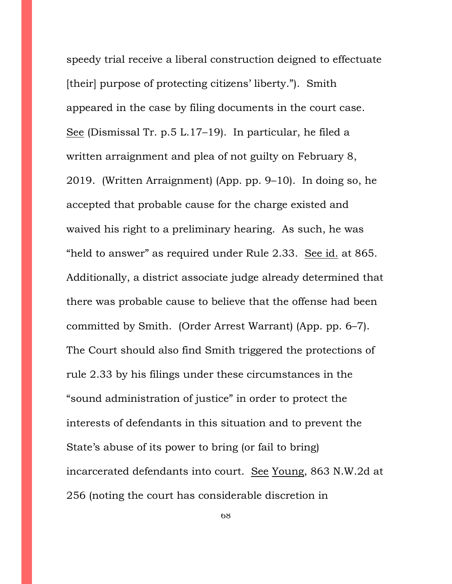speedy trial receive a liberal construction deigned to effectuate [their] purpose of protecting citizens' liberty."). Smith appeared in the case by filing documents in the court case. See (Dismissal Tr. p.5 L.17–19). In particular, he filed a written arraignment and plea of not guilty on February 8, 2019. (Written Arraignment) (App. pp. 9–10). In doing so, he accepted that probable cause for the charge existed and waived his right to a preliminary hearing. As such, he was "held to answer" as required under Rule 2.33. See id. at 865. Additionally, a district associate judge already determined that there was probable cause to believe that the offense had been committed by Smith. (Order Arrest Warrant) (App. pp. 6–7). The Court should also find Smith triggered the protections of rule 2.33 by his filings under these circumstances in the "sound administration of justice" in order to protect the interests of defendants in this situation and to prevent the State's abuse of its power to bring (or fail to bring) incarcerated defendants into court. See Young, 863 N.W.2d at 256 (noting the court has considerable discretion in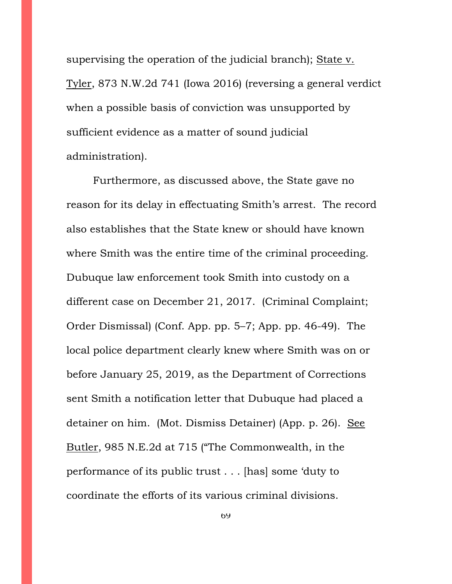supervising the operation of the judicial branch); State v. Tyler, 873 N.W.2d 741 (Iowa 2016) (reversing a general verdict when a possible basis of conviction was unsupported by sufficient evidence as a matter of sound judicial administration).

Furthermore, as discussed above, the State gave no reason for its delay in effectuating Smith's arrest. The record also establishes that the State knew or should have known where Smith was the entire time of the criminal proceeding. Dubuque law enforcement took Smith into custody on a different case on December 21, 2017. (Criminal Complaint; Order Dismissal) (Conf. App. pp. 5–7; App. pp. 46-49). The local police department clearly knew where Smith was on or before January 25, 2019, as the Department of Corrections sent Smith a notification letter that Dubuque had placed a detainer on him. (Mot. Dismiss Detainer) (App. p. 26). See Butler, 985 N.E.2d at 715 ("The Commonwealth, in the performance of its public trust . . . [has] some 'duty to coordinate the efforts of its various criminal divisions.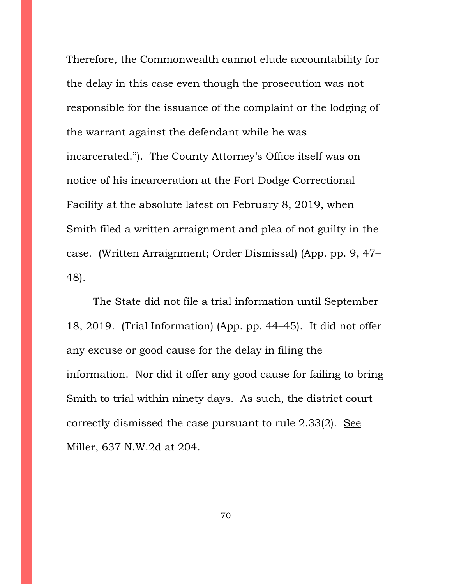Therefore, the Commonwealth cannot elude accountability for the delay in this case even though the prosecution was not responsible for the issuance of the complaint or the lodging of the warrant against the defendant while he was incarcerated."). The County Attorney's Office itself was on notice of his incarceration at the Fort Dodge Correctional Facility at the absolute latest on February 8, 2019, when Smith filed a written arraignment and plea of not guilty in the case. (Written Arraignment; Order Dismissal) (App. pp. 9, 47– 48).

The State did not file a trial information until September 18, 2019. (Trial Information) (App. pp. 44–45). It did not offer any excuse or good cause for the delay in filing the information. Nor did it offer any good cause for failing to bring Smith to trial within ninety days. As such, the district court correctly dismissed the case pursuant to rule 2.33(2). See Miller, 637 N.W.2d at 204.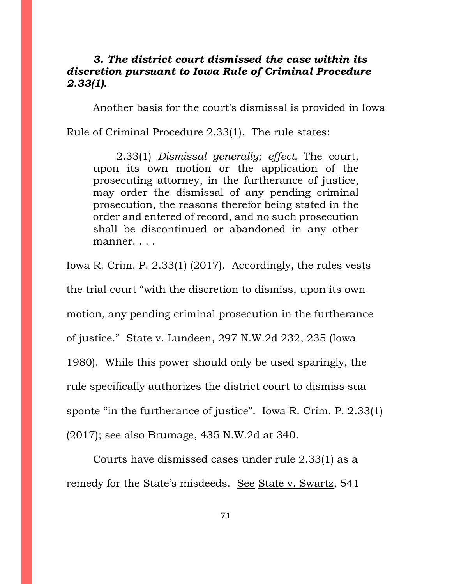# *3. The district court dismissed the case within its discretion pursuant to Iowa Rule of Criminal Procedure 2.33(1).*

Another basis for the court's dismissal is provided in Iowa

Rule of Criminal Procedure 2.33(1). The rule states:

2.33(1) *Dismissal generally; effect.* The court, upon its own motion or the application of the prosecuting attorney, in the furtherance of justice, may order the dismissal of any pending criminal prosecution, the reasons therefor being stated in the order and entered of record, and no such prosecution shall be discontinued or abandoned in any other manner. . . .

Iowa R. Crim. P. 2.33(1) (2017). Accordingly, the rules vests the trial court "with the discretion to dismiss, upon its own motion, any pending criminal prosecution in the furtherance of justice." State v. Lundeen, 297 N.W.2d 232, 235 (Iowa 1980). While this power should only be used sparingly, the rule specifically authorizes the district court to dismiss sua sponte "in the furtherance of justice". Iowa R. Crim. P. 2.33(1) (2017); see also Brumage, 435 N.W.2d at 340.

Courts have dismissed cases under rule 2.33(1) as a remedy for the State's misdeeds. See State v. Swartz, 541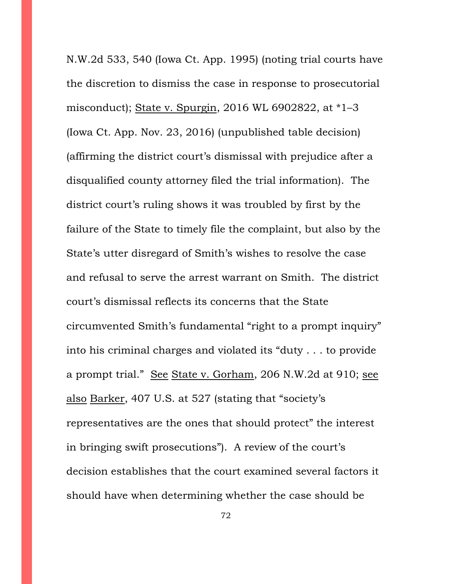N.W.2d 533, 540 (Iowa Ct. App. 1995) (noting trial courts have the discretion to dismiss the case in response to prosecutorial misconduct); State v. Spurgin, 2016 WL 6902822, at \*1–3 (Iowa Ct. App. Nov. 23, 2016) (unpublished table decision) (affirming the district court's dismissal with prejudice after a disqualified county attorney filed the trial information). The district court's ruling shows it was troubled by first by the failure of the State to timely file the complaint, but also by the State's utter disregard of Smith's wishes to resolve the case and refusal to serve the arrest warrant on Smith. The district court's dismissal reflects its concerns that the State circumvented Smith's fundamental "right to a prompt inquiry" into his criminal charges and violated its "duty . . . to provide a prompt trial." See State v. Gorham, 206 N.W.2d at 910; see also Barker, 407 U.S. at 527 (stating that "society's representatives are the ones that should protect" the interest in bringing swift prosecutions"). A review of the court's decision establishes that the court examined several factors it should have when determining whether the case should be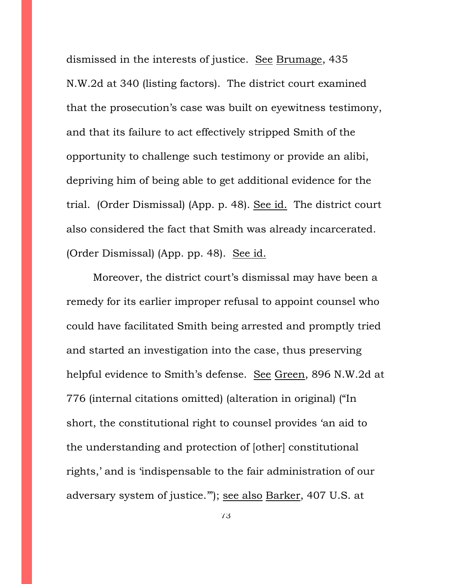dismissed in the interests of justice. See Brumage, 435 N.W.2d at 340 (listing factors). The district court examined that the prosecution's case was built on eyewitness testimony, and that its failure to act effectively stripped Smith of the opportunity to challenge such testimony or provide an alibi, depriving him of being able to get additional evidence for the trial. (Order Dismissal) (App. p. 48). See id. The district court also considered the fact that Smith was already incarcerated. (Order Dismissal) (App. pp. 48). See id.

Moreover, the district court's dismissal may have been a remedy for its earlier improper refusal to appoint counsel who could have facilitated Smith being arrested and promptly tried and started an investigation into the case, thus preserving helpful evidence to Smith's defense. See Green, 896 N.W.2d at 776 (internal citations omitted) (alteration in original) ("In short, the constitutional right to counsel provides 'an aid to the understanding and protection of [other] constitutional rights,' and is 'indispensable to the fair administration of our adversary system of justice.'"); see also Barker, 407 U.S. at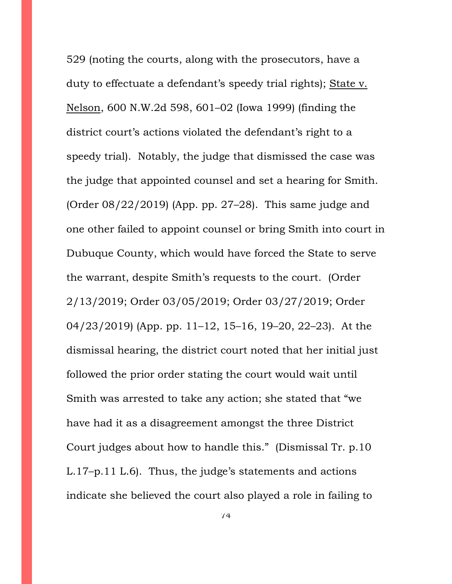529 (noting the courts, along with the prosecutors, have a duty to effectuate a defendant's speedy trial rights); State v. Nelson, 600 N.W.2d 598, 601–02 (Iowa 1999) (finding the district court's actions violated the defendant's right to a speedy trial). Notably, the judge that dismissed the case was the judge that appointed counsel and set a hearing for Smith. (Order  $08/22/2019$ ) (App. pp. 27–28). This same judge and one other failed to appoint counsel or bring Smith into court in Dubuque County, which would have forced the State to serve the warrant, despite Smith's requests to the court. (Order 2/13/2019; Order 03/05/2019; Order 03/27/2019; Order 04/23/2019) (App. pp. 11–12, 15–16, 19–20, 22–23). At the dismissal hearing, the district court noted that her initial just followed the prior order stating the court would wait until Smith was arrested to take any action; she stated that "we have had it as a disagreement amongst the three District Court judges about how to handle this." (Dismissal Tr. p.10 L.17–p.11 L.6). Thus, the judge's statements and actions indicate she believed the court also played a role in failing to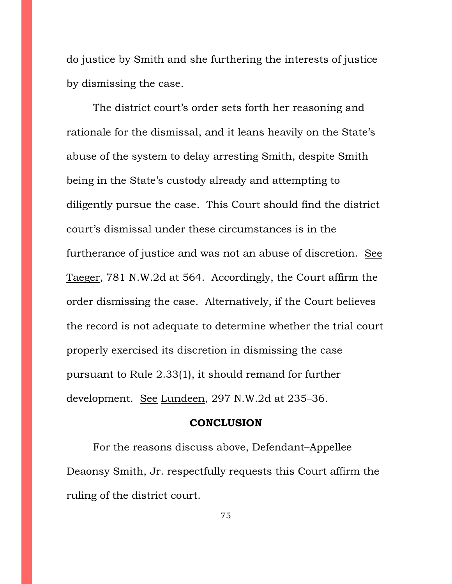do justice by Smith and she furthering the interests of justice by dismissing the case.

The district court's order sets forth her reasoning and rationale for the dismissal, and it leans heavily on the State's abuse of the system to delay arresting Smith, despite Smith being in the State's custody already and attempting to diligently pursue the case. This Court should find the district court's dismissal under these circumstances is in the furtherance of justice and was not an abuse of discretion. See Taeger, 781 N.W.2d at 564. Accordingly, the Court affirm the order dismissing the case. Alternatively, if the Court believes the record is not adequate to determine whether the trial court properly exercised its discretion in dismissing the case pursuant to Rule 2.33(1), it should remand for further development. See Lundeen, 297 N.W.2d at 235–36.

## **CONCLUSION**

For the reasons discuss above, Defendant–Appellee Deaonsy Smith, Jr. respectfully requests this Court affirm the ruling of the district court.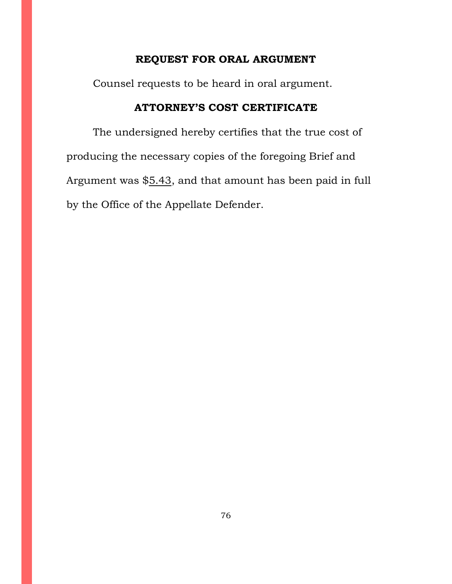## **REQUEST FOR ORAL ARGUMENT**

Counsel requests to be heard in oral argument.

## **ATTORNEY'S COST CERTIFICATE**

The undersigned hereby certifies that the true cost of producing the necessary copies of the foregoing Brief and Argument was \$5.43, and that amount has been paid in full by the Office of the Appellate Defender.